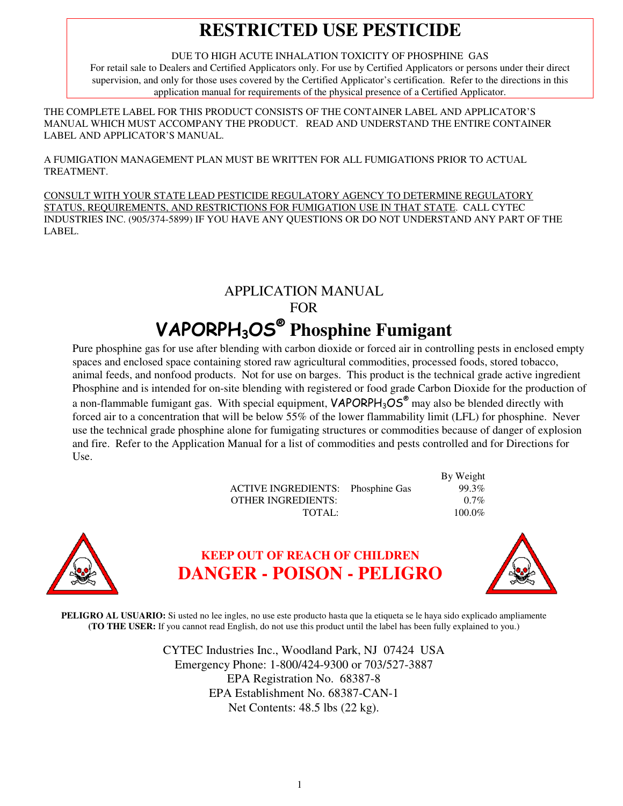# **RESTRICTED USE PESTICIDE**

DUE TO HIGH ACUTE INHALATION TOXICITY OF PHOSPHINE GAS

For retail sale to Dealers and Certified Applicators only. For use by Certified Applicators or persons under their direct supervision, and only for those uses covered by the Certified Applicator's certification. Refer to the directions in this application manual for requirements of the physical presence of a Certified Applicator.

THE COMPLETE LABEL FOR THIS PRODUCT CONSISTS OF THE CONTAINER LABEL AND APPLICATOR'S MANUAL WHICH MUST ACCOMPANY THE PRODUCT. READ AND UNDERSTAND THE ENTIRE CONTAINER LABEL AND APPLICATOR'S MANUAL.

A FUMIGATION MANAGEMENT PLAN MUST BE WRITTEN FOR ALL FUMIGATIONS PRIOR TO ACTUAL TREATMENT.

CONSULT WITH YOUR STATE LEAD PESTICIDE REGULATORY AGENCY TO DETERMINE REGULATORY STATUS, REQUIREMENTS, AND RESTRICTIONS FOR FUMIGATION USE IN THAT STATE. CALL CYTEC INDUSTRIES INC. (905/374-5899) IF YOU HAVE ANY QUESTIONS OR DO NOT UNDERSTAND ANY PART OF THE LABEL.

## APPLICATION MANUAL FOR VAPORPH3OS®  **Phosphine Fumigant**

Pure phosphine gas for use after blending with carbon dioxide or forced air in controlling pests in enclosed empty spaces and enclosed space containing stored raw agricultural commodities, processed foods, stored tobacco, animal feeds, and nonfood products. Not for use on barges. This product is the technical grade active ingredient Phosphine and is intended for on-site blending with registered or food grade Carbon Dioxide for the production of a non-flammable fumigant gas. With special equipment,  $VAPORPH_3OS^{\circ}$  may also be blended directly with forced air to a concentration that will be below 55% of the lower flammability limit (LFL) for phosphine. Never use the technical grade phosphine alone for fumigating structures or commodities because of danger of explosion and fire. Refer to the Application Manual for a list of commodities and pests controlled and for Directions for Use.

| <b>ACTIVE INGREDIENTS:</b> Phosphine Gas |  |
|------------------------------------------|--|
| <b>OTHER INGREDIENTS:</b>                |  |
| TOTAL:                                   |  |



## **KEEP OUT OF REACH OF CHILDREN DANGER - POISON - PELIGRO**



By Weight

99.3% 0.7% 100.0%

 **PELIGRO AL USUARIO:** Si usted no lee ingles, no use este producto hasta que la etiqueta se le haya sido explicado ampliamente **(TO THE USER:** If you cannot read English, do not use this product until the label has been fully explained to you.)

> CYTEC Industries Inc., Woodland Park, NJ 07424 USA Emergency Phone: 1-800/424-9300 or 703/527-3887 EPA Registration No. 68387-8 EPA Establishment No. 68387-CAN-1 Net Contents: 48.5 lbs (22 kg).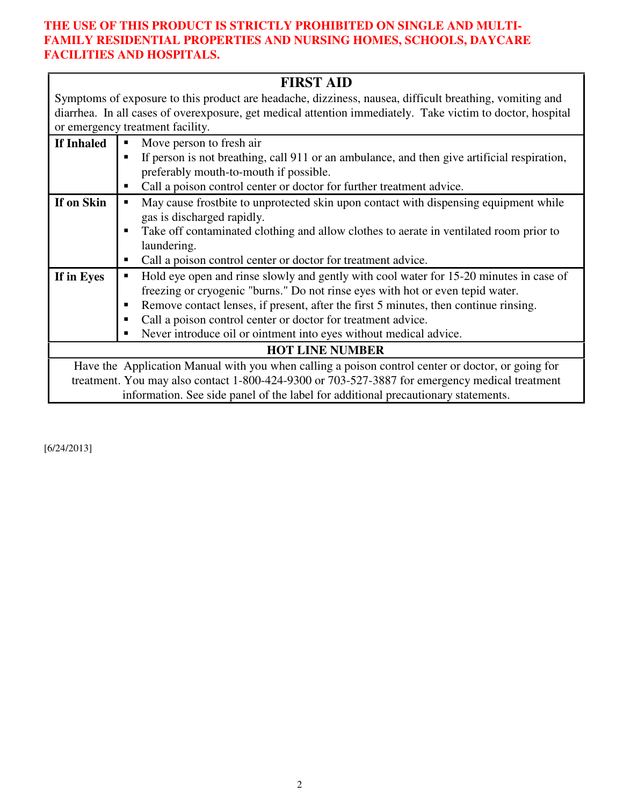#### **THE USE OF THIS PRODUCT IS STRICTLY PROHIBITED ON SINGLE AND MULTI-FAMILY RESIDENTIAL PROPERTIES AND NURSING HOMES, SCHOOLS, DAYCARE FACILITIES AND HOSPITALS.**

|                                                                                                         | <b>FIRST AID</b>                                                                                           |  |
|---------------------------------------------------------------------------------------------------------|------------------------------------------------------------------------------------------------------------|--|
| Symptoms of exposure to this product are headache, dizziness, nausea, difficult breathing, vomiting and |                                                                                                            |  |
|                                                                                                         | diarrhea. In all cases of overexposure, get medical attention immediately. Take victim to doctor, hospital |  |
|                                                                                                         | or emergency treatment facility.                                                                           |  |
| If Inhaled                                                                                              | Move person to fresh air<br>٠                                                                              |  |
|                                                                                                         | If person is not breathing, call 911 or an ambulance, and then give artificial respiration,                |  |
|                                                                                                         | preferably mouth-to-mouth if possible.                                                                     |  |
|                                                                                                         | Call a poison control center or doctor for further treatment advice.                                       |  |
| If on Skin                                                                                              | May cause frostbite to unprotected skin upon contact with dispensing equipment while                       |  |
|                                                                                                         | gas is discharged rapidly.                                                                                 |  |
|                                                                                                         | Take off contaminated clothing and allow clothes to aerate in ventilated room prior to                     |  |
|                                                                                                         | laundering.                                                                                                |  |
|                                                                                                         | Call a poison control center or doctor for treatment advice.<br>п                                          |  |
| If in Eyes                                                                                              | Hold eye open and rinse slowly and gently with cool water for 15-20 minutes in case of                     |  |
|                                                                                                         | freezing or cryogenic "burns." Do not rinse eyes with hot or even tepid water.                             |  |
|                                                                                                         | Remove contact lenses, if present, after the first 5 minutes, then continue rinsing.                       |  |
|                                                                                                         | Call a poison control center or doctor for treatment advice.                                               |  |
|                                                                                                         | Never introduce oil or ointment into eyes without medical advice.                                          |  |
| <b>HOT LINE NUMBER</b>                                                                                  |                                                                                                            |  |
|                                                                                                         | Have the Application Manual with you when calling a poison control center or doctor, or going for          |  |
|                                                                                                         | treatment. You may also contact 1-800-424-9300 or 703-527-3887 for emergency medical treatment             |  |
|                                                                                                         | information. See side panel of the label for additional precautionary statements.                          |  |

[6/24/2013]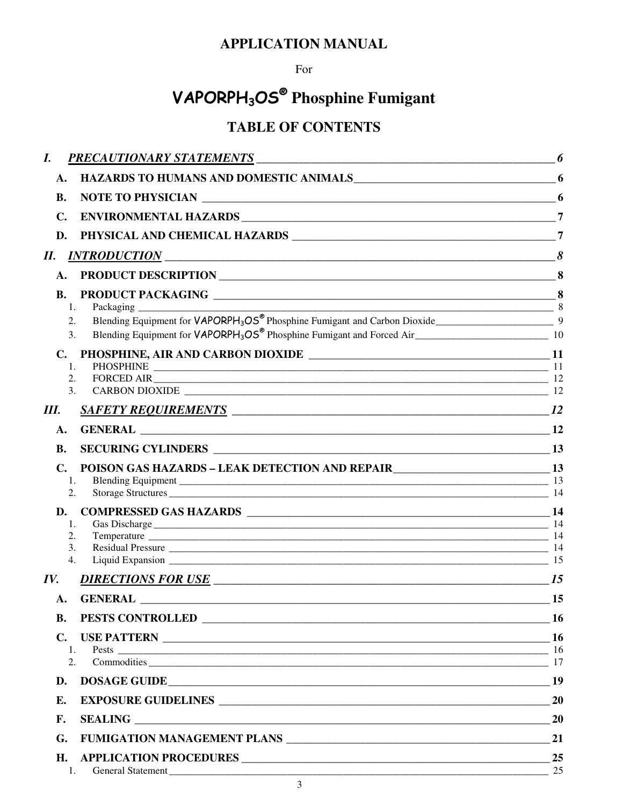## **APPLICATION MANUAL**

### For

# VAPORPH<sub>3</sub>OS<sup>®</sup> Phosphine Fumigant

## **TABLE OF CONTENTS**

| I.                               | <b>PRECAUTIONARY STATEMENTS</b>                                                                                                       | 6                |
|----------------------------------|---------------------------------------------------------------------------------------------------------------------------------------|------------------|
| A.                               | HAZARDS TO HUMANS AND DOMESTIC ANIMALS 6                                                                                              |                  |
| <b>B.</b>                        |                                                                                                                                       |                  |
| C.                               |                                                                                                                                       |                  |
| D.                               |                                                                                                                                       | $\overline{7}$   |
| П.                               | $INTRODUCTION$ $8$                                                                                                                    |                  |
| A.                               |                                                                                                                                       |                  |
| <b>B.</b>                        |                                                                                                                                       |                  |
| 1.<br>2.<br>3.                   | 8<br>Packaging<br>Blending Equipment for VAPORPH <sub>3</sub> OS® Phosphine Fumigant and Carbon Dioxide_____________________________9 |                  |
| $\mathbf{C}$ .<br>1.<br>2.<br>3. |                                                                                                                                       |                  |
| III.                             |                                                                                                                                       |                  |
| A.                               |                                                                                                                                       |                  |
| <b>B.</b>                        |                                                                                                                                       |                  |
| $\mathbf{C}$ .<br>1.<br>2.       | POISON GAS HAZARDS - LEAK DETECTION AND REPAIR____________________________13                                                          |                  |
| D.<br>1.<br>2.<br>3.<br>4.       |                                                                                                                                       |                  |
| IV.                              |                                                                                                                                       | <i>15</i>        |
| A.                               |                                                                                                                                       | $\sim$ 15        |
| <b>B.</b>                        |                                                                                                                                       | -16              |
| $\mathbf{C}$ .<br>1.<br>2.       | USE PATTERN                                                                                                                           | <b>16</b><br>-16 |
| D.                               | DOSAGE GUIDE                                                                                                                          | 19               |
| E.                               |                                                                                                                                       | 20               |
| F.                               |                                                                                                                                       | 20               |
| G.                               |                                                                                                                                       | 21               |
| Η.                               |                                                                                                                                       | 25               |
|                                  | <b>General Statement</b>                                                                                                              | 25               |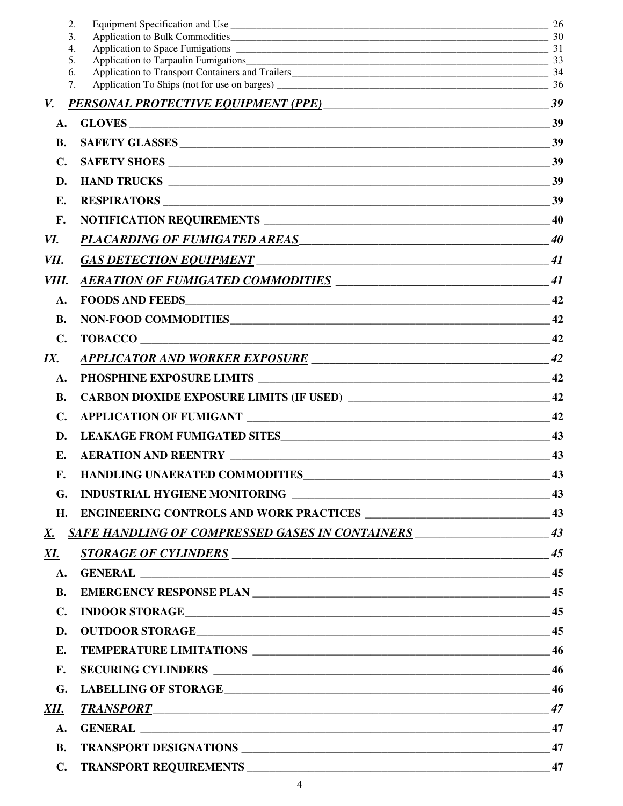|                  | 2.                                                        | 26 |
|------------------|-----------------------------------------------------------|----|
| $\overline{4}$ . | 3.                                                        |    |
|                  | 5.                                                        |    |
|                  | 6.                                                        |    |
|                  | 7.                                                        |    |
| V.               | PERSONAL PROTECTIVE EQUIPMENT (PPE) 39                    |    |
| A.               |                                                           | 39 |
| <b>B.</b>        |                                                           | 39 |
| C.               | <b>SAFETY SHOES</b>                                       | 39 |
| D.               |                                                           | 39 |
| Е.               |                                                           | 39 |
| F.               |                                                           | 40 |
| VI.              | PLACARD <u>ING OF FUMIGATED AREAS</u>                     | 40 |
| VII.             |                                                           | 41 |
| VIII.            |                                                           |    |
| A.               |                                                           | 42 |
| <b>B.</b>        | NON-FOOD COMMODITIES                                      | 42 |
| C.               |                                                           | 42 |
| IX.              | <u>APPLICATOR AND WORKER EXPOSURE</u>                     | 42 |
| A.               |                                                           | 42 |
| <b>B.</b>        |                                                           | 42 |
| $\mathbf{C}$ .   |                                                           | 42 |
| D.               |                                                           | 43 |
| E.               |                                                           | 43 |
| F.               |                                                           | 43 |
| G.               |                                                           |    |
| H.               |                                                           |    |
| <u>X.</u>        | <b>SAFE HANDLING OF COMPRESSED GASES IN CONTAINERS</b> 43 |    |
| <u>XI.</u>       |                                                           |    |
| A.               |                                                           |    |
| <b>B.</b>        |                                                           |    |
| $\mathbf{C}$ .   |                                                           |    |
| D.               |                                                           |    |
| E.               |                                                           |    |
| <b>F.</b>        |                                                           |    |
| G.               |                                                           |    |
| XII.             | <u>TRANSPORT</u> 47                                       |    |
| ${\bf A}$ .      |                                                           |    |
| <b>B.</b>        |                                                           |    |
| $\mathbf{C}$ .   |                                                           |    |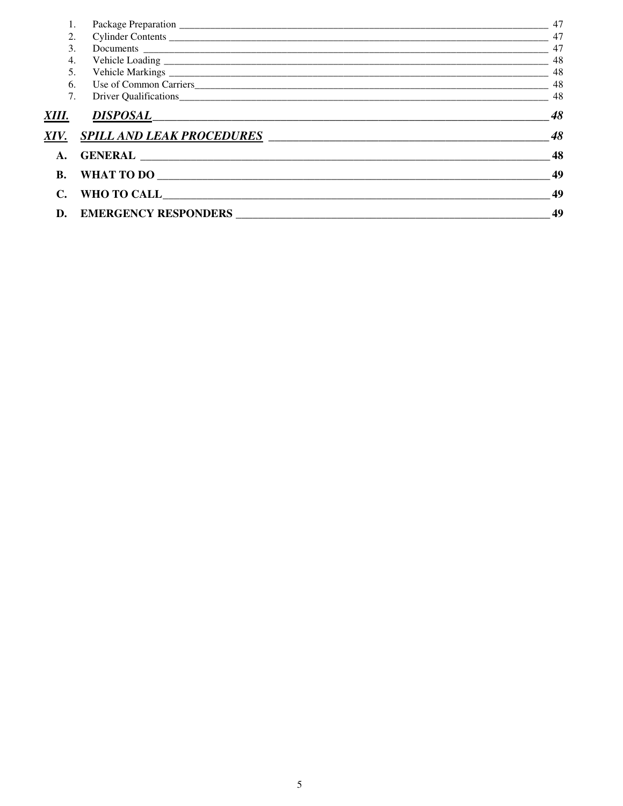| 1.        |                                  | 47 |
|-----------|----------------------------------|----|
| 2.        |                                  | 47 |
| 3.        |                                  | 47 |
| 4.        |                                  | 48 |
| 5.        |                                  | 48 |
| 6.        |                                  | 48 |
| 7.        |                                  | 48 |
| XIII.     | DI <u>SPOSAL</u>                 | 48 |
| XIV.      | <b>SPILL AND LEAK PROCEDURES</b> | 48 |
| A.        |                                  | 48 |
| <b>B.</b> | WHAT TO DO                       | 49 |
|           | WHO TO CALL <b>WHO TO CALL</b>   | 49 |
| D.        | <b>EMERGENCY RESPONDERS</b>      | 49 |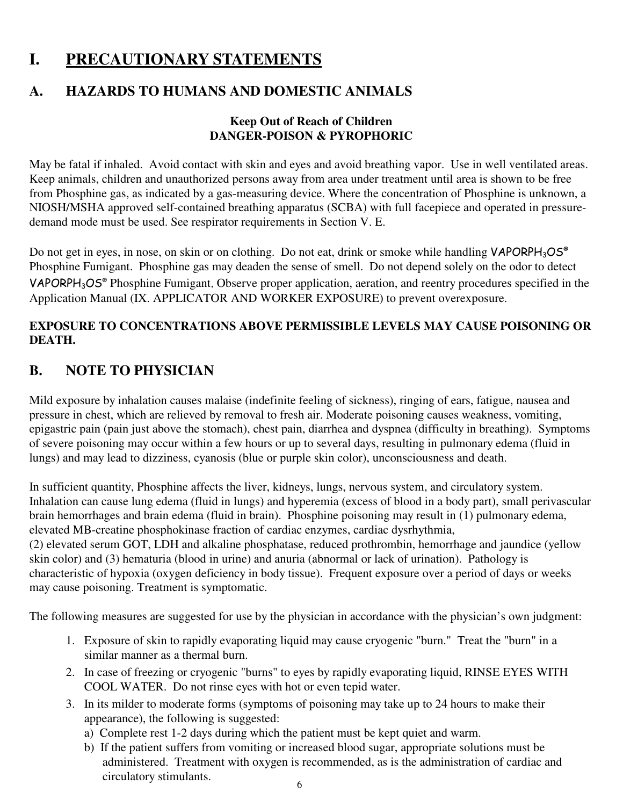## **I. PRECAUTIONARY STATEMENTS**

## **A. HAZARDS TO HUMANS AND DOMESTIC ANIMALS**

#### **Keep Out of Reach of Children DANGER-POISON & PYROPHORIC**

May be fatal if inhaled. Avoid contact with skin and eyes and avoid breathing vapor. Use in well ventilated areas. Keep animals, children and unauthorized persons away from area under treatment until area is shown to be free from Phosphine gas, as indicated by a gas-measuring device. Where the concentration of Phosphine is unknown, a NIOSH/MSHA approved self-contained breathing apparatus (SCBA) with full facepiece and operated in pressuredemand mode must be used. See respirator requirements in Section V. E.

Do not get in eyes, in nose, on skin or on clothing. Do not eat, drink or smoke while handling VAPORPH<sub>3</sub>OS<sup>®</sup> Phosphine Fumigant. Phosphine gas may deaden the sense of smell. Do not depend solely on the odor to detect VAPORPH<sub>3</sub>OS® Phosphine Fumigant. Observe proper application, aeration, and reentry procedures specified in the Application Manual (IX. APPLICATOR AND WORKER EXPOSURE) to prevent overexposure.

#### **EXPOSURE TO CONCENTRATIONS ABOVE PERMISSIBLE LEVELS MAY CAUSE POISONING OR DEATH.**

## **B. NOTE TO PHYSICIAN**

Mild exposure by inhalation causes malaise (indefinite feeling of sickness), ringing of ears, fatigue, nausea and pressure in chest, which are relieved by removal to fresh air. Moderate poisoning causes weakness, vomiting, epigastric pain (pain just above the stomach), chest pain, diarrhea and dyspnea (difficulty in breathing). Symptoms of severe poisoning may occur within a few hours or up to several days, resulting in pulmonary edema (fluid in lungs) and may lead to dizziness, cyanosis (blue or purple skin color), unconsciousness and death.

In sufficient quantity, Phosphine affects the liver, kidneys, lungs, nervous system, and circulatory system. Inhalation can cause lung edema (fluid in lungs) and hyperemia (excess of blood in a body part), small perivascular brain hemorrhages and brain edema (fluid in brain). Phosphine poisoning may result in (1) pulmonary edema, elevated MB-creatine phosphokinase fraction of cardiac enzymes, cardiac dysrhythmia, (2) elevated serum GOT, LDH and alkaline phosphatase, reduced prothrombin, hemorrhage and jaundice (yellow skin color) and (3) hematuria (blood in urine) and anuria (abnormal or lack of urination). Pathology is

characteristic of hypoxia (oxygen deficiency in body tissue). Frequent exposure over a period of days or weeks may cause poisoning. Treatment is symptomatic.

The following measures are suggested for use by the physician in accordance with the physician's own judgment:

- 1. Exposure of skin to rapidly evaporating liquid may cause cryogenic "burn." Treat the "burn" in a similar manner as a thermal burn.
- 2. In case of freezing or cryogenic "burns" to eyes by rapidly evaporating liquid, RINSE EYES WITH COOL WATER. Do not rinse eyes with hot or even tepid water.
- 3. In its milder to moderate forms (symptoms of poisoning may take up to 24 hours to make their appearance), the following is suggested:
	- a) Complete rest 1-2 days during which the patient must be kept quiet and warm.
	- b) If the patient suffers from vomiting or increased blood sugar, appropriate solutions must be administered. Treatment with oxygen is recommended, as is the administration of cardiac and circulatory stimulants.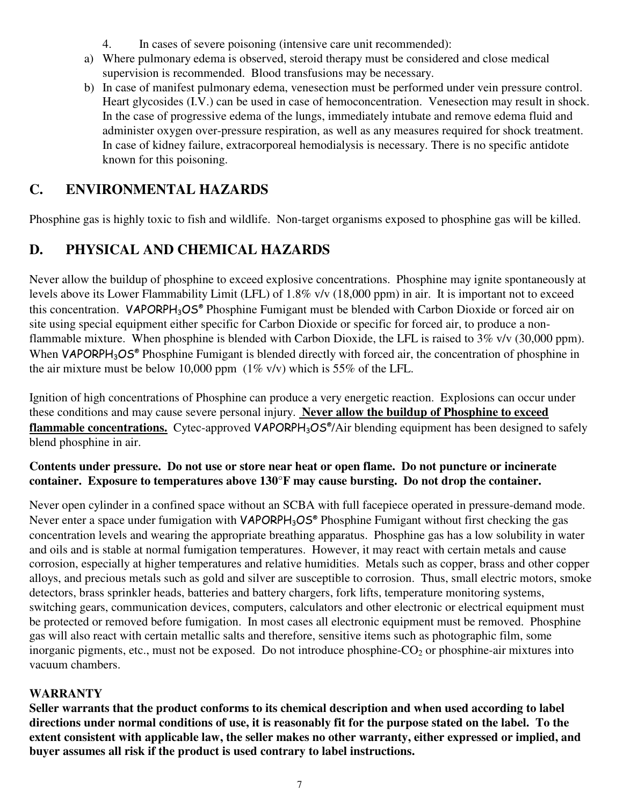- 4. In cases of severe poisoning (intensive care unit recommended):
- a) Where pulmonary edema is observed, steroid therapy must be considered and close medical supervision is recommended. Blood transfusions may be necessary.
- b) In case of manifest pulmonary edema, venesection must be performed under vein pressure control. Heart glycosides (I.V.) can be used in case of hemoconcentration. Venesection may result in shock. In the case of progressive edema of the lungs, immediately intubate and remove edema fluid and administer oxygen over-pressure respiration, as well as any measures required for shock treatment. In case of kidney failure, extracorporeal hemodialysis is necessary. There is no specific antidote known for this poisoning.

## **C. ENVIRONMENTAL HAZARDS**

Phosphine gas is highly toxic to fish and wildlife. Non-target organisms exposed to phosphine gas will be killed.

## **D. PHYSICAL AND CHEMICAL HAZARDS**

Never allow the buildup of phosphine to exceed explosive concentrations. Phosphine may ignite spontaneously at levels above its Lower Flammability Limit (LFL) of 1.8% v/v (18,000 ppm) in air. It is important not to exceed this concentration. VAPORPH<sub>3</sub>OS® Phosphine Fumigant must be blended with Carbon Dioxide or forced air on site using special equipment either specific for Carbon Dioxide or specific for forced air, to produce a nonflammable mixture. When phosphine is blended with Carbon Dioxide, the LFL is raised to 3% v/v (30,000 ppm). When VAPORPH<sub>3</sub>OS® Phosphine Fumigant is blended directly with forced air, the concentration of phosphine in the air mixture must be below 10,000 ppm  $(1\% \text{ v/v})$  which is 55% of the LFL.

Ignition of high concentrations of Phosphine can produce a very energetic reaction. Explosions can occur under these conditions and may cause severe personal injury. **Never allow the buildup of Phosphine to exceed flammable concentrations.** Cytec-approved VAPORPH3OS® /Air blending equipment has been designed to safely blend phosphine in air.

#### **Contents under pressure. Do not use or store near heat or open flame. Do not puncture or incinerate container. Exposure to temperatures above 130°F may cause bursting. Do not drop the container.**

Never open cylinder in a confined space without an SCBA with full facepiece operated in pressure-demand mode. Never enter a space under fumigation with VAPORPH<sub>3</sub>OS<sup>®</sup> Phosphine Fumigant without first checking the gas concentration levels and wearing the appropriate breathing apparatus. Phosphine gas has a low solubility in water and oils and is stable at normal fumigation temperatures. However, it may react with certain metals and cause corrosion, especially at higher temperatures and relative humidities. Metals such as copper, brass and other copper alloys, and precious metals such as gold and silver are susceptible to corrosion. Thus, small electric motors, smoke detectors, brass sprinkler heads, batteries and battery chargers, fork lifts, temperature monitoring systems, switching gears, communication devices, computers, calculators and other electronic or electrical equipment must be protected or removed before fumigation. In most cases all electronic equipment must be removed. Phosphine gas will also react with certain metallic salts and therefore, sensitive items such as photographic film, some inorganic pigments, etc., must not be exposed. Do not introduce phosphine- $CO<sub>2</sub>$  or phosphine-air mixtures into vacuum chambers.

#### **WARRANTY**

**Seller warrants that the product conforms to its chemical description and when used according to label directions under normal conditions of use, it is reasonably fit for the purpose stated on the label. To the extent consistent with applicable law, the seller makes no other warranty, either expressed or implied, and buyer assumes all risk if the product is used contrary to label instructions.**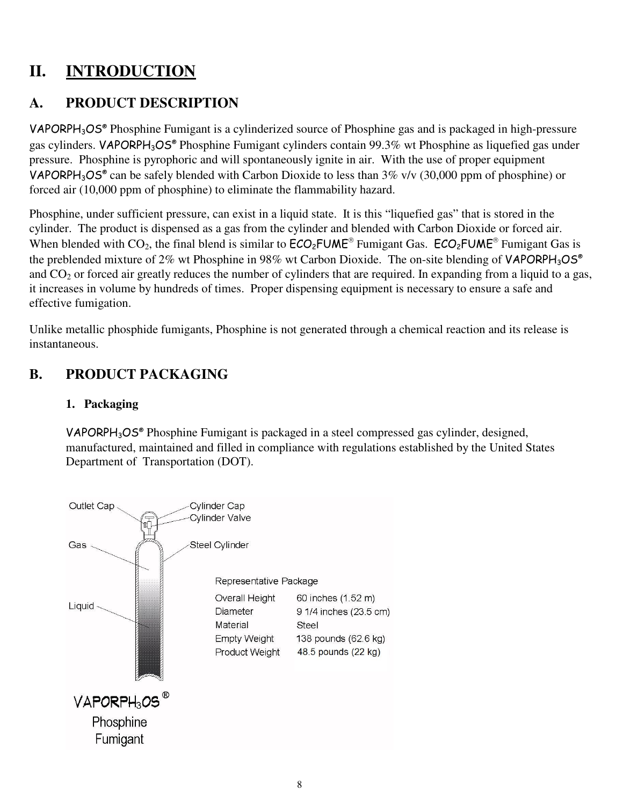## **II. INTRODUCTION**

## **A. PRODUCT DESCRIPTION**

VAPORPH<sub>3</sub>OS<sup>®</sup> Phosphine Fumigant is a cylinderized source of Phosphine gas and is packaged in high-pressure gas cylinders. VAPORPH<sub>3</sub>OS® Phosphine Fumigant cylinders contain 99.3% wt Phosphine as liquefied gas under pressure. Phosphine is pyrophoric and will spontaneously ignite in air. With the use of proper equipment VAPORPH<sub>3</sub>OS<sup>®</sup> can be safely blended with Carbon Dioxide to less than  $3\%$  v/v (30,000 ppm of phosphine) or forced air (10,000 ppm of phosphine) to eliminate the flammability hazard.

Phosphine, under sufficient pressure, can exist in a liquid state. It is this "liquefied gas" that is stored in the cylinder. The product is dispensed as a gas from the cylinder and blended with Carbon Dioxide or forced air. When blended with  $CO_2$ , the final blend is similar to  $\text{ECO}_2\text{FUME}^*$  Fumigant Gas.  $\text{ECO}_2\text{FUME}^*$  Fumigant Gas is the preblended mixture of 2% wt Phosphine in 98% wt Carbon Dioxide. The on-site blending of VAPORPH<sub>3</sub>OS<sup>®</sup> and  $CO<sub>2</sub>$  or forced air greatly reduces the number of cylinders that are required. In expanding from a liquid to a gas, it increases in volume by hundreds of times. Proper dispensing equipment is necessary to ensure a safe and effective fumigation.

Unlike metallic phosphide fumigants, Phosphine is not generated through a chemical reaction and its release is instantaneous.

## **B. PRODUCT PACKAGING**

#### **1. Packaging**

VAPORPH<sub>3</sub>OS<sup>®</sup> Phosphine Fumigant is packaged in a steel compressed gas cylinder, designed, manufactured, maintained and filled in compliance with regulations established by the United States Department of Transportation (DOT).

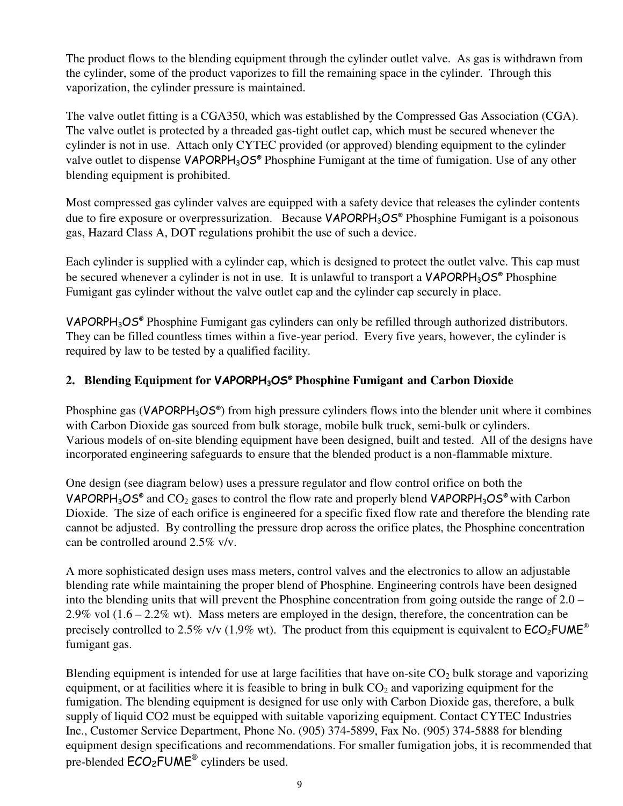The product flows to the blending equipment through the cylinder outlet valve. As gas is withdrawn from the cylinder, some of the product vaporizes to fill the remaining space in the cylinder. Through this vaporization, the cylinder pressure is maintained.

The valve outlet fitting is a CGA350, which was established by the Compressed Gas Association (CGA). The valve outlet is protected by a threaded gas-tight outlet cap, which must be secured whenever the cylinder is not in use. Attach only CYTEC provided (or approved) blending equipment to the cylinder valve outlet to dispense VAPORPH<sub>3</sub>OS<sup>®</sup> Phosphine Fumigant at the time of fumigation. Use of any other blending equipment is prohibited.

Most compressed gas cylinder valves are equipped with a safety device that releases the cylinder contents due to fire exposure or overpressurization. Because VAPORPH<sub>3</sub>OS® Phosphine Fumigant is a poisonous gas, Hazard Class A, DOT regulations prohibit the use of such a device.

Each cylinder is supplied with a cylinder cap, which is designed to protect the outlet valve. This cap must be secured whenever a cylinder is not in use. It is unlawful to transport a VAPORPH<sub>3</sub>OS<sup>®</sup> Phosphine Fumigant gas cylinder without the valve outlet cap and the cylinder cap securely in place.

VAPORPH<sub>3</sub>OS<sup>®</sup> Phosphine Fumigant gas cylinders can only be refilled through authorized distributors. They can be filled countless times within a five-year period. Every five years, however, the cylinder is required by law to be tested by a qualified facility.

#### **2. Blending Equipment for** VAPORPH3OS® **Phosphine Fumigant and Carbon Dioxide**

Phosphine gas (VAPORPH<sub>3</sub>OS<sup>®</sup>) from high pressure cylinders flows into the blender unit where it combines with Carbon Dioxide gas sourced from bulk storage, mobile bulk truck, semi-bulk or cylinders. Various models of on-site blending equipment have been designed, built and tested. All of the designs have incorporated engineering safeguards to ensure that the blended product is a non-flammable mixture.

One design (see diagram below) uses a pressure regulator and flow control orifice on both the VAPORPH<sub>3</sub>OS<sup>®</sup> and CO<sub>2</sub> gases to control the flow rate and properly blend VAPORPH<sub>3</sub>OS<sup>®</sup> with Carbon Dioxide. The size of each orifice is engineered for a specific fixed flow rate and therefore the blending rate cannot be adjusted. By controlling the pressure drop across the orifice plates, the Phosphine concentration can be controlled around 2.5% v/v.

A more sophisticated design uses mass meters, control valves and the electronics to allow an adjustable blending rate while maintaining the proper blend of Phosphine. Engineering controls have been designed into the blending units that will prevent the Phosphine concentration from going outside the range of 2.0 – 2.9% vol (1.6 – 2.2% wt). Mass meters are employed in the design, therefore, the concentration can be precisely controlled to 2.5% v/v (1.9% wt). The product from this equipment is equivalent to  $ECO<sub>2</sub>FUME<sup>®</sup>$ fumigant gas.

Blending equipment is intended for use at large facilities that have on-site  $CO<sub>2</sub>$  bulk storage and vaporizing equipment, or at facilities where it is feasible to bring in bulk  $CO<sub>2</sub>$  and vaporizing equipment for the fumigation. The blending equipment is designed for use only with Carbon Dioxide gas, therefore, a bulk supply of liquid CO2 must be equipped with suitable vaporizing equipment. Contact CYTEC Industries Inc., Customer Service Department, Phone No. (905) 374-5899, Fax No. (905) 374-5888 for blending equipment design specifications and recommendations. For smaller fumigation jobs, it is recommended that pre-blended  $\mathsf{ECO}_2\mathsf{FUME}^{\circledast}$  cylinders be used.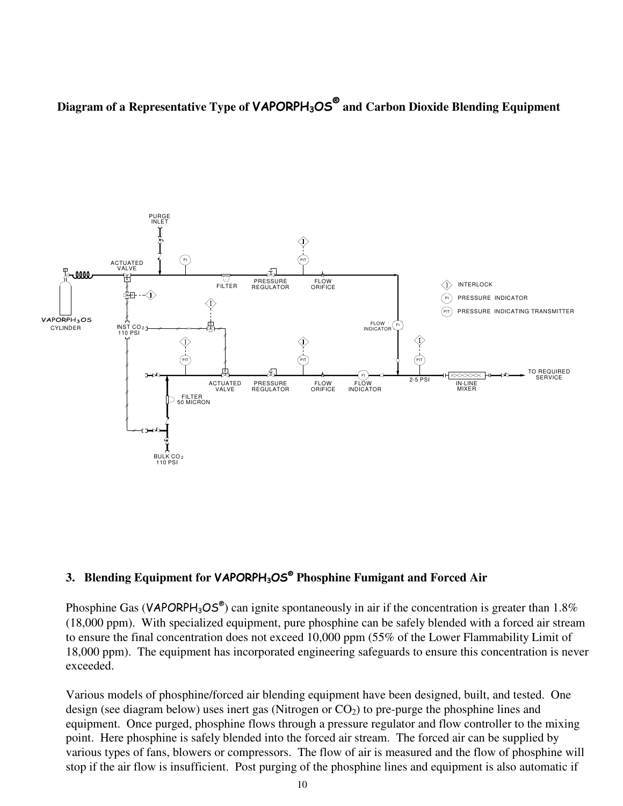**Diagram of a Representative Type of** VAPORPH3OS®  **and Carbon Dioxide Blending Equipment**



#### **3. Blending Equipment for** VAPORPH3OS®  **Phosphine Fumigant and Forced Air**

Phosphine Gas (VAPORPH<sub>3</sub>OS<sup>®</sup>) can ignite spontaneously in air if the concentration is greater than 1.8% (18,000 ppm). With specialized equipment, pure phosphine can be safely blended with a forced air stream to ensure the final concentration does not exceed 10,000 ppm (55% of the Lower Flammability Limit of 18,000 ppm). The equipment has incorporated engineering safeguards to ensure this concentration is never exceeded.

Various models of phosphine/forced air blending equipment have been designed, built, and tested. One design (see diagram below) uses inert gas (Nitrogen or  $CO<sub>2</sub>$ ) to pre-purge the phosphine lines and equipment. Once purged, phosphine flows through a pressure regulator and flow controller to the mixing point. Here phosphine is safely blended into the forced air stream. The forced air can be supplied by various types of fans, blowers or compressors. The flow of air is measured and the flow of phosphine will stop if the air flow is insufficient. Post purging of the phosphine lines and equipment is also automatic if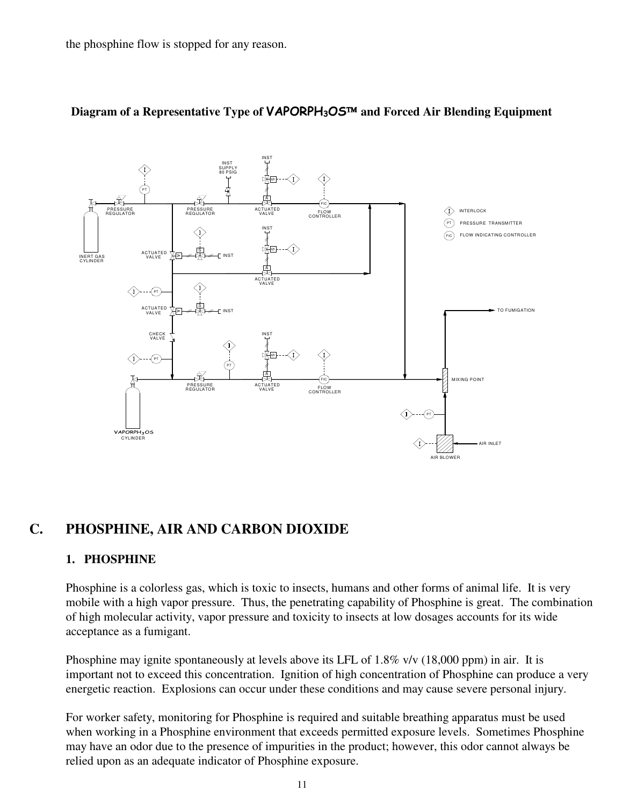the phosphine flow is stopped for any reason.



#### Diagram of a Representative Type of **VAPORPH<sub>3</sub>OS**™ and Forced Air Blending Equipment

#### **C. PHOSPHINE, AIR AND CARBON DIOXIDE**

#### **1. PHOSPHINE**

Phosphine is a colorless gas, which is toxic to insects, humans and other forms of animal life. It is very mobile with a high vapor pressure. Thus, the penetrating capability of Phosphine is great. The combination of high molecular activity, vapor pressure and toxicity to insects at low dosages accounts for its wide acceptance as a fumigant.

Phosphine may ignite spontaneously at levels above its LFL of 1.8% v/v (18,000 ppm) in air. It is important not to exceed this concentration. Ignition of high concentration of Phosphine can produce a very energetic reaction. Explosions can occur under these conditions and may cause severe personal injury.

For worker safety, monitoring for Phosphine is required and suitable breathing apparatus must be used when working in a Phosphine environment that exceeds permitted exposure levels. Sometimes Phosphine may have an odor due to the presence of impurities in the product; however, this odor cannot always be relied upon as an adequate indicator of Phosphine exposure.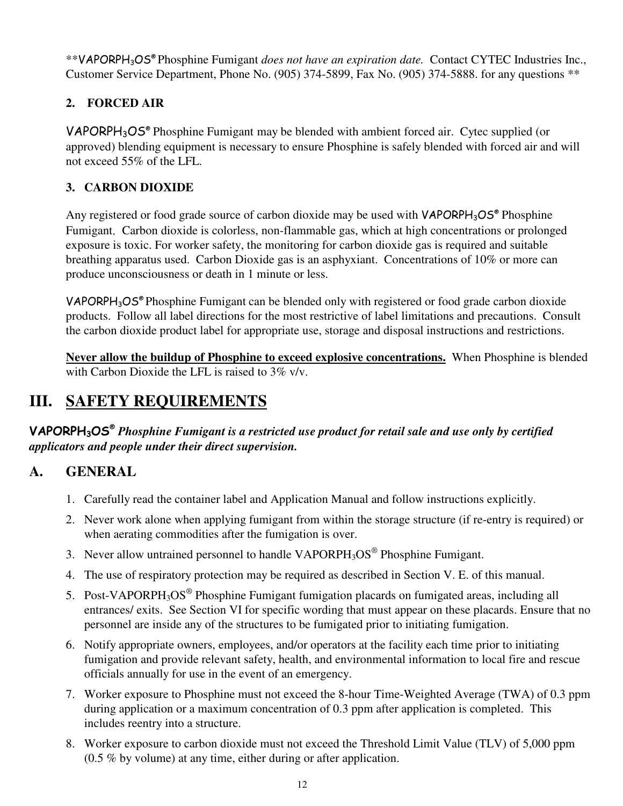\*\*VAPORPH3OS® Phosphine Fumigant *does not have an expiration date.* Contact CYTEC Industries Inc., Customer Service Department, Phone No. (905) 374-5899, Fax No. (905) 374-5888. for any questions \*\*

## **2. FORCED AIR**

VAPORPH3OS® Phosphine Fumigant may be blended with ambient forced air. Cytec supplied (or approved) blending equipment is necessary to ensure Phosphine is safely blended with forced air and will not exceed 55% of the LFL.

### **3. CARBON DIOXIDE**

Any registered or food grade source of carbon dioxide may be used with  $VAPORPH<sub>3</sub>OS<sup>®</sup>$  Phosphine Fumigant. Carbon dioxide is colorless, non-flammable gas, which at high concentrations or prolonged exposure is toxic. For worker safety, the monitoring for carbon dioxide gas is required and suitable breathing apparatus used. Carbon Dioxide gas is an asphyxiant. Concentrations of 10% or more can produce unconsciousness or death in 1 minute or less.

VAPORPH<sub>3</sub>OS<sup>®</sup> Phosphine Fumigant can be blended only with registered or food grade carbon dioxide products. Follow all label directions for the most restrictive of label limitations and precautions. Consult the carbon dioxide product label for appropriate use, storage and disposal instructions and restrictions.

**Never allow the buildup of Phosphine to exceed explosive concentrations.** When Phosphine is blended with Carbon Dioxide the LFL is raised to  $3\%$  v/v.

## **III. SAFETY REQUIREMENTS**

VAPORPH3OS®  *Phosphine Fumigant is a restricted use product for retail sale and use only by certified applicators and people under their direct supervision.* 

## **A. GENERAL**

- 1. Carefully read the container label and Application Manual and follow instructions explicitly.
- 2. Never work alone when applying fumigant from within the storage structure (if re-entry is required) or when aerating commodities after the fumigation is over.
- 3. Never allow untrained personnel to handle  $VAPORPH<sub>3</sub>OS<sup>®</sup>$  Phosphine Fumigant.
- 4. The use of respiratory protection may be required as described in Section V. E. of this manual.
- 5. Post-VAPORPH<sub>3</sub>OS<sup>®</sup> Phosphine Fumigant fumigation placards on fumigated areas, including all entrances/ exits. See Section VI for specific wording that must appear on these placards. Ensure that no personnel are inside any of the structures to be fumigated prior to initiating fumigation.
- 6. Notify appropriate owners, employees, and/or operators at the facility each time prior to initiating fumigation and provide relevant safety, health, and environmental information to local fire and rescue officials annually for use in the event of an emergency.
- 7. Worker exposure to Phosphine must not exceed the 8-hour Time-Weighted Average (TWA) of 0.3 ppm during application or a maximum concentration of 0.3 ppm after application is completed. This includes reentry into a structure.
- 8. Worker exposure to carbon dioxide must not exceed the Threshold Limit Value (TLV) of 5,000 ppm (0.5 % by volume) at any time, either during or after application.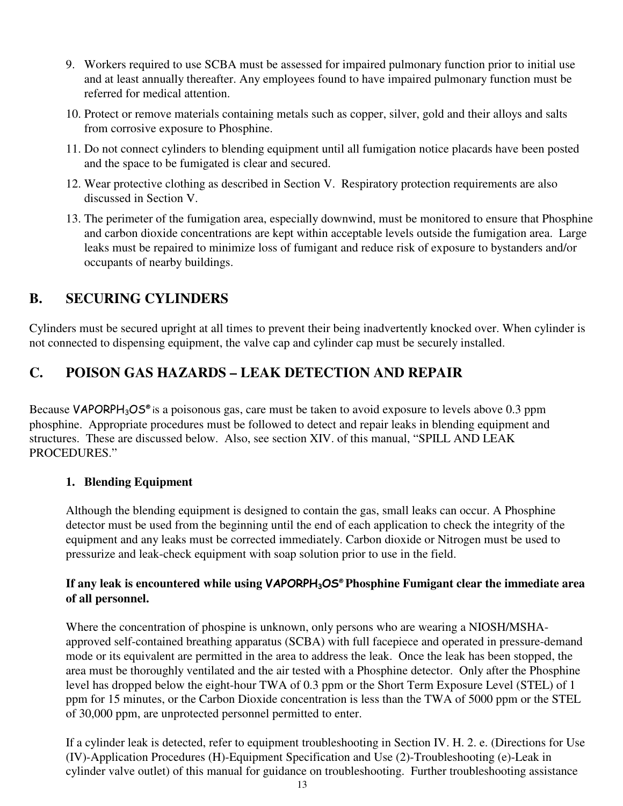- 9. Workers required to use SCBA must be assessed for impaired pulmonary function prior to initial use and at least annually thereafter. Any employees found to have impaired pulmonary function must be referred for medical attention.
- 10. Protect or remove materials containing metals such as copper, silver, gold and their alloys and salts from corrosive exposure to Phosphine.
- 11. Do not connect cylinders to blending equipment until all fumigation notice placards have been posted and the space to be fumigated is clear and secured.
- 12. Wear protective clothing as described in Section V. Respiratory protection requirements are also discussed in Section V.
- 13. The perimeter of the fumigation area, especially downwind, must be monitored to ensure that Phosphine and carbon dioxide concentrations are kept within acceptable levels outside the fumigation area. Large leaks must be repaired to minimize loss of fumigant and reduce risk of exposure to bystanders and/or occupants of nearby buildings.

## **B. SECURING CYLINDERS**

Cylinders must be secured upright at all times to prevent their being inadvertently knocked over. When cylinder is not connected to dispensing equipment, the valve cap and cylinder cap must be securely installed.

## **C. POISON GAS HAZARDS – LEAK DETECTION AND REPAIR**

Because VAPORPH<sub>3</sub>OS<sup>®</sup> is a poisonous gas, care must be taken to avoid exposure to levels above 0.3 ppm phosphine. Appropriate procedures must be followed to detect and repair leaks in blending equipment and structures. These are discussed below. Also, see section XIV. of this manual, "SPILL AND LEAK PROCEDURES."

#### **1. Blending Equipment**

Although the blending equipment is designed to contain the gas, small leaks can occur. A Phosphine detector must be used from the beginning until the end of each application to check the integrity of the equipment and any leaks must be corrected immediately. Carbon dioxide or Nitrogen must be used to pressurize and leak-check equipment with soap solution prior to use in the field.

#### **If any leak is encountered while using** VAPORPH3OS® **Phosphine Fumigant clear the immediate area of all personnel.**

Where the concentration of phospine is unknown, only persons who are wearing a NIOSH/MSHAapproved self-contained breathing apparatus (SCBA) with full facepiece and operated in pressure-demand mode or its equivalent are permitted in the area to address the leak. Once the leak has been stopped, the area must be thoroughly ventilated and the air tested with a Phosphine detector. Only after the Phosphine level has dropped below the eight-hour TWA of 0.3 ppm or the Short Term Exposure Level (STEL) of 1 ppm for 15 minutes, or the Carbon Dioxide concentration is less than the TWA of 5000 ppm or the STEL of 30,000 ppm, are unprotected personnel permitted to enter.

If a cylinder leak is detected, refer to equipment troubleshooting in Section IV. H. 2. e. (Directions for Use (IV)-Application Procedures (H)-Equipment Specification and Use (2)-Troubleshooting (e)-Leak in cylinder valve outlet) of this manual for guidance on troubleshooting. Further troubleshooting assistance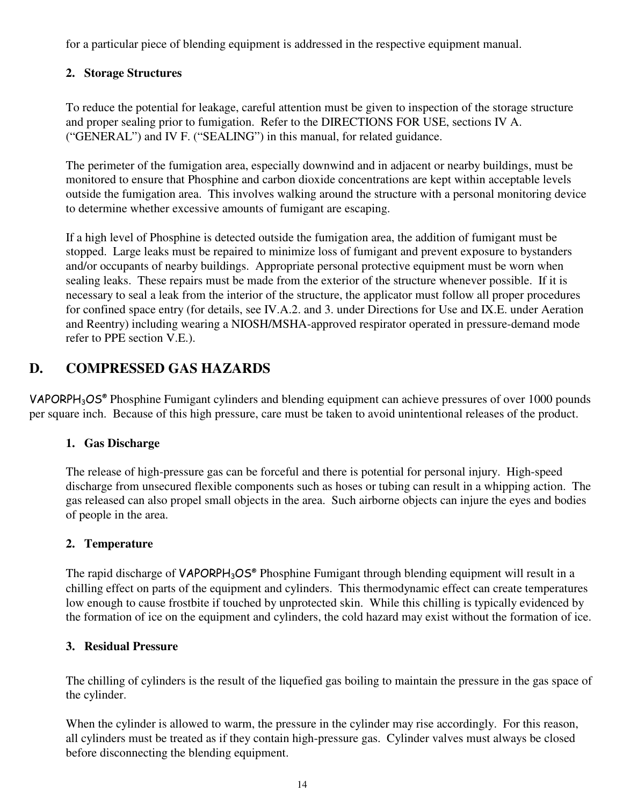for a particular piece of blending equipment is addressed in the respective equipment manual.

#### **2. Storage Structures**

To reduce the potential for leakage, careful attention must be given to inspection of the storage structure and proper sealing prior to fumigation. Refer to the DIRECTIONS FOR USE, sections IV A. ("GENERAL") and IV F. ("SEALING") in this manual, for related guidance.

The perimeter of the fumigation area, especially downwind and in adjacent or nearby buildings, must be monitored to ensure that Phosphine and carbon dioxide concentrations are kept within acceptable levels outside the fumigation area. This involves walking around the structure with a personal monitoring device to determine whether excessive amounts of fumigant are escaping.

If a high level of Phosphine is detected outside the fumigation area, the addition of fumigant must be stopped. Large leaks must be repaired to minimize loss of fumigant and prevent exposure to bystanders and/or occupants of nearby buildings. Appropriate personal protective equipment must be worn when sealing leaks. These repairs must be made from the exterior of the structure whenever possible. If it is necessary to seal a leak from the interior of the structure, the applicator must follow all proper procedures for confined space entry (for details, see IV.A.2. and 3. under Directions for Use and IX.E. under Aeration and Reentry) including wearing a NIOSH/MSHA-approved respirator operated in pressure-demand mode refer to PPE section V.E.).

## **D. COMPRESSED GAS HAZARDS**

VAPORPH<sub>3</sub>OS<sup>®</sup> Phosphine Fumigant cylinders and blending equipment can achieve pressures of over 1000 pounds per square inch. Because of this high pressure, care must be taken to avoid unintentional releases of the product.

#### **1. Gas Discharge**

The release of high-pressure gas can be forceful and there is potential for personal injury. High-speed discharge from unsecured flexible components such as hoses or tubing can result in a whipping action. The gas released can also propel small objects in the area. Such airborne objects can injure the eyes and bodies of people in the area.

#### **2. Temperature**

The rapid discharge of VAPORPH<sub>3</sub>OS<sup>®</sup> Phosphine Fumigant through blending equipment will result in a chilling effect on parts of the equipment and cylinders. This thermodynamic effect can create temperatures low enough to cause frostbite if touched by unprotected skin. While this chilling is typically evidenced by the formation of ice on the equipment and cylinders, the cold hazard may exist without the formation of ice.

#### **3. Residual Pressure**

The chilling of cylinders is the result of the liquefied gas boiling to maintain the pressure in the gas space of the cylinder.

When the cylinder is allowed to warm, the pressure in the cylinder may rise accordingly. For this reason, all cylinders must be treated as if they contain high-pressure gas. Cylinder valves must always be closed before disconnecting the blending equipment.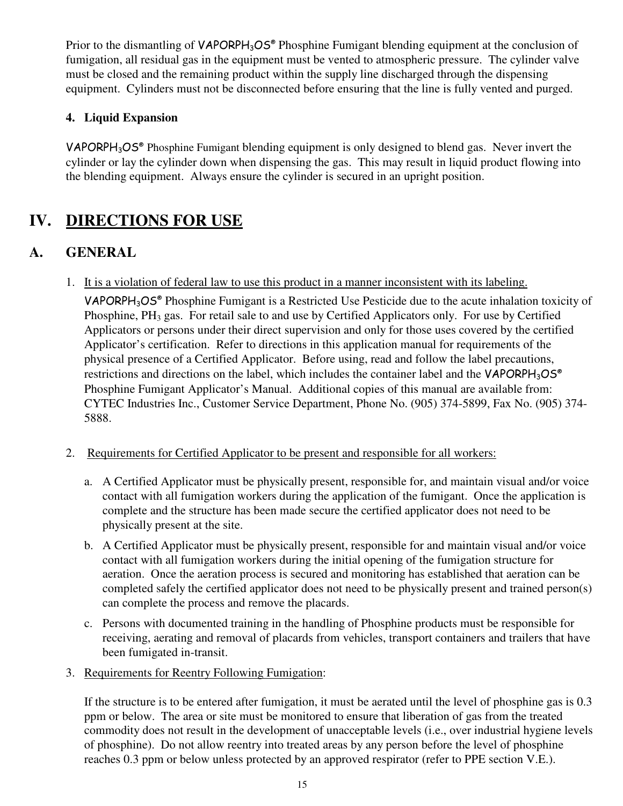Prior to the dismantling of VAPORPH<sub>3</sub>OS® Phosphine Fumigant blending equipment at the conclusion of fumigation, all residual gas in the equipment must be vented to atmospheric pressure. The cylinder valve must be closed and the remaining product within the supply line discharged through the dispensing equipment. Cylinders must not be disconnected before ensuring that the line is fully vented and purged.

### **4. Liquid Expansion**

VAPORPH<sub>3</sub>OS<sup>®</sup> Phosphine Fumigant blending equipment is only designed to blend gas. Never invert the cylinder or lay the cylinder down when dispensing the gas. This may result in liquid product flowing into the blending equipment. Always ensure the cylinder is secured in an upright position.

# **IV. DIRECTIONS FOR USE**

## **A. GENERAL**

1. It is a violation of federal law to use this product in a manner inconsistent with its labeling.

VAPORPH<sub>3</sub>OS<sup>®</sup> Phosphine Fumigant is a Restricted Use Pesticide due to the acute inhalation toxicity of Phosphine,  $PH_3$  gas. For retail sale to and use by Certified Applicators only. For use by Certified Applicators or persons under their direct supervision and only for those uses covered by the certified Applicator's certification. Refer to directions in this application manual for requirements of the physical presence of a Certified Applicator. Before using, read and follow the label precautions, restrictions and directions on the label, which includes the container label and the VAPORPH<sub>3</sub>OS<sup>®</sup> Phosphine Fumigant Applicator's Manual. Additional copies of this manual are available from: CYTEC Industries Inc., Customer Service Department, Phone No. (905) 374-5899, Fax No. (905) 374- 5888.

- 2. Requirements for Certified Applicator to be present and responsible for all workers:
	- a. A Certified Applicator must be physically present, responsible for, and maintain visual and/or voice contact with all fumigation workers during the application of the fumigant. Once the application is complete and the structure has been made secure the certified applicator does not need to be physically present at the site.
	- b. A Certified Applicator must be physically present, responsible for and maintain visual and/or voice contact with all fumigation workers during the initial opening of the fumigation structure for aeration. Once the aeration process is secured and monitoring has established that aeration can be completed safely the certified applicator does not need to be physically present and trained person(s) can complete the process and remove the placards.
	- c. Persons with documented training in the handling of Phosphine products must be responsible for receiving, aerating and removal of placards from vehicles, transport containers and trailers that have been fumigated in-transit.
- 3. Requirements for Reentry Following Fumigation:

 If the structure is to be entered after fumigation, it must be aerated until the level of phosphine gas is 0.3 ppm or below. The area or site must be monitored to ensure that liberation of gas from the treated commodity does not result in the development of unacceptable levels (i.e., over industrial hygiene levels of phosphine). Do not allow reentry into treated areas by any person before the level of phosphine reaches 0.3 ppm or below unless protected by an approved respirator (refer to PPE section V.E.).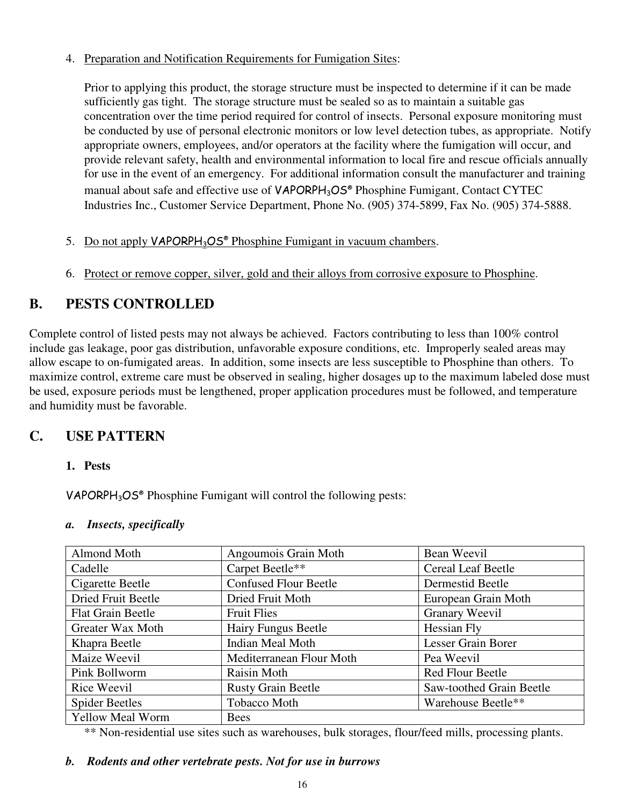#### 4. Preparation and Notification Requirements for Fumigation Sites:

Prior to applying this product, the storage structure must be inspected to determine if it can be made sufficiently gas tight. The storage structure must be sealed so as to maintain a suitable gas concentration over the time period required for control of insects. Personal exposure monitoring must be conducted by use of personal electronic monitors or low level detection tubes, as appropriate. Notify appropriate owners, employees, and/or operators at the facility where the fumigation will occur, and provide relevant safety, health and environmental information to local fire and rescue officials annually for use in the event of an emergency. For additional information consult the manufacturer and training manual about safe and effective use of VAPORPH<sub>3</sub>OS® Phosphine Fumigant. Contact CYTEC Industries Inc., Customer Service Department, Phone No. (905) 374-5899, Fax No. (905) 374-5888.

#### 5. Do not apply VAPORPH<sub>3</sub>OS<sup>®</sup> Phosphine Fumigant in vacuum chambers.

6. Protect or remove copper, silver, gold and their alloys from corrosive exposure to Phosphine.

## **B. PESTS CONTROLLED**

Complete control of listed pests may not always be achieved. Factors contributing to less than 100% control include gas leakage, poor gas distribution, unfavorable exposure conditions, etc. Improperly sealed areas may allow escape to on-fumigated areas. In addition, some insects are less susceptible to Phosphine than others. To maximize control, extreme care must be observed in sealing, higher dosages up to the maximum labeled dose must be used, exposure periods must be lengthened, proper application procedures must be followed, and temperature and humidity must be favorable.

## **C. USE PATTERN**

#### **1. Pests**

VAPORPH3OS® Phosphine Fumigant will control the following pests:

#### *a. Insects, specifically*

| Almond Moth              | Angoumois Grain Moth         | Bean Weevil              |
|--------------------------|------------------------------|--------------------------|
| Cadelle                  | Carpet Beetle**              | Cereal Leaf Beetle       |
| Cigarette Beetle         | <b>Confused Flour Beetle</b> | Dermestid Beetle         |
| Dried Fruit Beetle       | Dried Fruit Moth             | European Grain Moth      |
| <b>Flat Grain Beetle</b> | <b>Fruit Flies</b>           | <b>Granary Weevil</b>    |
| Greater Wax Moth         | Hairy Fungus Beetle          | Hessian Fly              |
| Khapra Beetle            | <b>Indian Meal Moth</b>      | Lesser Grain Borer       |
| Maize Weevil             | Mediterranean Flour Moth     | Pea Weevil               |
| Pink Bollworm            | Raisin Moth                  | <b>Red Flour Beetle</b>  |
| Rice Weevil              | <b>Rusty Grain Beetle</b>    | Saw-toothed Grain Beetle |
| <b>Spider Beetles</b>    | Tobacco Moth                 | Warehouse Beetle**       |
| <b>Yellow Meal Worm</b>  | <b>Bees</b>                  |                          |

\*\* Non-residential use sites such as warehouses, bulk storages, flour/feed mills, processing plants.

#### *b. Rodents and other vertebrate pests. Not for use in burrows*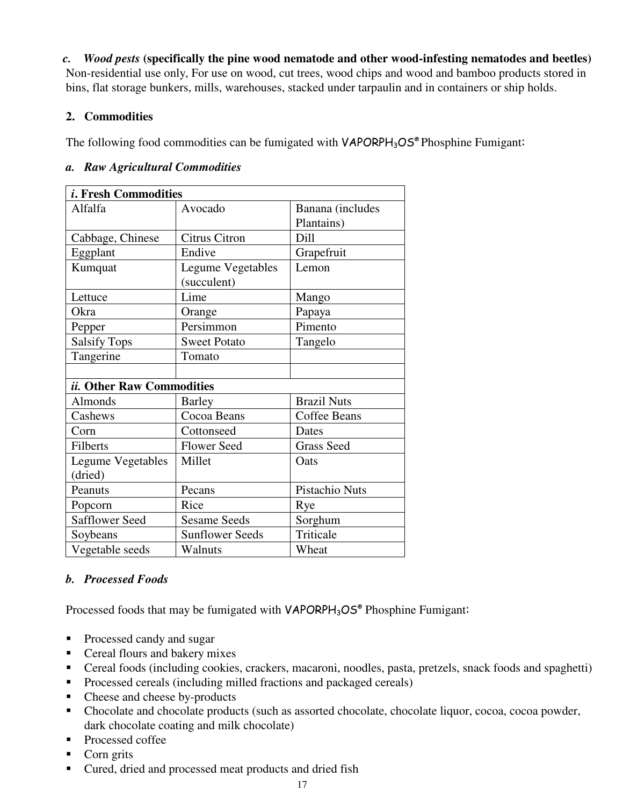*c.**Wood pests* **(specifically the pine wood nematode and other wood-infesting nematodes and beetles)** 

Non-residential use only, For use on wood, cut trees, wood chips and wood and bamboo products stored in bins, flat storage bunkers, mills, warehouses, stacked under tarpaulin and in containers or ship holds.

#### **2. Commodities**

The following food commodities can be fumigated with  $VAPORPH<sub>3</sub>OS<sup>®</sup> Phosphine Fumigant:$ 

#### *a. Raw Agricultural Commodities*

| <i>i</i> . Fresh Commodities |                          |                     |
|------------------------------|--------------------------|---------------------|
| Alfalfa                      | Avocado                  | Banana (includes    |
|                              |                          | Plantains)          |
| Cabbage, Chinese             | <b>Citrus Citron</b>     | Dill                |
| Eggplant                     | Endive                   | Grapefruit          |
| Kumquat                      | <b>Legume Vegetables</b> | Lemon               |
|                              | (succulent)              |                     |
| Lettuce                      | Lime                     | Mango               |
| Okra                         | Orange                   | Papaya              |
| Pepper                       | Persimmon                | Pimento             |
| <b>Salsify Tops</b>          | <b>Sweet Potato</b>      | Tangelo             |
| Tangerine                    | Tomato                   |                     |
|                              |                          |                     |
| ii. Other Raw Commodities    |                          |                     |
| Almonds                      | <b>Barley</b>            | <b>Brazil Nuts</b>  |
| Cashews                      | Cocoa Beans              | <b>Coffee Beans</b> |
| Corn                         | Cottonseed               | Dates               |
| <b>Filberts</b>              | <b>Flower Seed</b>       | <b>Grass Seed</b>   |
| <b>Legume Vegetables</b>     | Millet                   | Oats                |
| (dried)                      |                          |                     |
| Peanuts                      | Pecans                   | Pistachio Nuts      |
| Popcorn                      | Rice                     | Rye                 |
| <b>Safflower Seed</b>        | <b>Sesame Seeds</b>      | Sorghum             |
| Soybeans                     | <b>Sunflower Seeds</b>   | Triticale           |
| Vegetable seeds              | Walnuts                  | Wheat               |

#### *b. Processed Foods*

Processed foods that may be fumigated with VAPORPH<sub>3</sub>OS® Phosphine Fumigant:

- **Processed candy and sugar**
- Cereal flours and bakery mixes
- Cereal foods (including cookies, crackers, macaroni, noodles, pasta, pretzels, snack foods and spaghetti)
- **Processed cereals (including milled fractions and packaged cereals)**
- Cheese and cheese by-products
- Chocolate and chocolate products (such as assorted chocolate, chocolate liquor, cocoa, cocoa powder, dark chocolate coating and milk chocolate)
- **Processed coffee**
- Corn grits
- Cured, dried and processed meat products and dried fish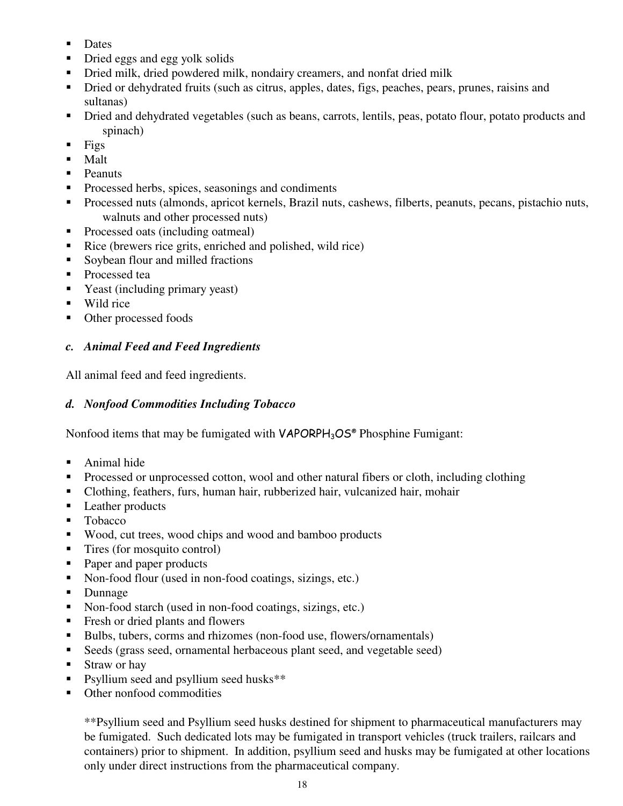- **Dates**
- Dried eggs and egg yolk solids
- Dried milk, dried powdered milk, nondairy creamers, and nonfat dried milk
- Dried or dehydrated fruits (such as citrus, apples, dates, figs, peaches, pears, prunes, raisins and sultanas)
- Dried and dehydrated vegetables (such as beans, carrots, lentils, peas, potato flour, potato products and spinach)
- $Figs$
- $$
- Peanuts
- **Processed herbs, spices, seasonings and condiments**
- Processed nuts (almonds, apricot kernels, Brazil nuts, cashews, filberts, peanuts, pecans, pistachio nuts, walnuts and other processed nuts)
- Processed oats (including oatmeal)
- Rice (brewers rice grits, enriched and polished, wild rice)
- Soybean flour and milled fractions
- **Processed tea**
- Yeast (including primary yeast)
- Wild rice
- Other processed foods

#### *c. Animal Feed and Feed Ingredients*

All animal feed and feed ingredients.

#### *d. Nonfood Commodities Including Tobacco*

Nonfood items that may be fumigated with VAPORPH<sub>3</sub>OS® Phosphine Fumigant:

- Animal hide
- **Processed or unprocessed cotton, wool and other natural fibers or cloth, including clothing**
- Clothing, feathers, furs, human hair, rubberized hair, vulcanized hair, mohair
- Leather products
- Tobacco
- Wood, cut trees, wood chips and wood and bamboo products
- Tires (for mosquito control)
- Paper and paper products
- Non-food flour (used in non-food coatings, sizings, etc.)
- Dunnage
- Non-food starch (used in non-food coatings, sizings, etc.)
- Fresh or dried plants and flowers
- Bulbs, tubers, corms and rhizomes (non-food use, flowers/ornamentals)
- Seeds (grass seed, ornamental herbaceous plant seed, and vegetable seed)
- Straw or hay
- Psyllium seed and psyllium seed husks<sup>\*\*</sup>
- Other nonfood commodities

\*\*Psyllium seed and Psyllium seed husks destined for shipment to pharmaceutical manufacturers may be fumigated. Such dedicated lots may be fumigated in transport vehicles (truck trailers, railcars and containers) prior to shipment. In addition, psyllium seed and husks may be fumigated at other locations only under direct instructions from the pharmaceutical company.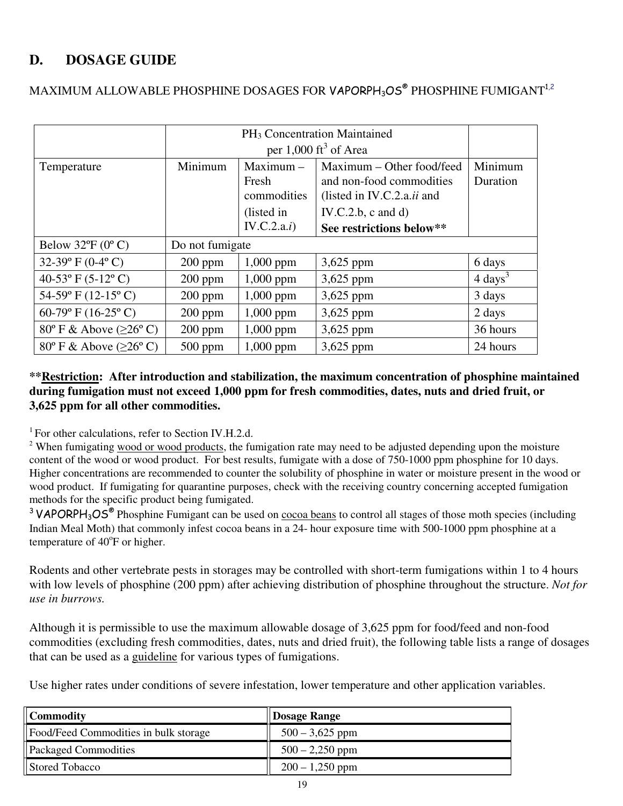## **D. DOSAGE GUIDE**

|                                                 | PH <sub>3</sub> Concentration Maintained |                                     |                                                                                     |                     |
|-------------------------------------------------|------------------------------------------|-------------------------------------|-------------------------------------------------------------------------------------|---------------------|
|                                                 |                                          |                                     | per $1,000$ ft <sup>3</sup> of Area                                                 |                     |
| Temperature                                     | Minimum                                  | $Maximum -$<br>Fresh<br>commodities | Maximum – Other food/feed<br>and non-food commodities<br>(listed in IV.C.2.a.ii and | Minimum<br>Duration |
|                                                 |                                          | (listed in                          | IV.C.2.b, $c$ and $d$ )                                                             |                     |
|                                                 |                                          | IV.C.2.a.i)                         | See restrictions below**                                                            |                     |
| Below $32^{\circ}F(0^{\circ}C)$                 | Do not fumigate                          |                                     |                                                                                     |                     |
| 32-39 $\rm{P}$ (0-4 $\rm{O}$ )                  | $200$ ppm                                | 1,000 ppm                           | $3,625$ ppm                                                                         | 6 days              |
| 40-53 $\rm{^{\circ}F}$ (5-12 $\rm{^{\circ}C}$ ) | $200$ ppm                                | $1,000$ ppm                         | $3,625$ ppm                                                                         | $4 \text{ days}^3$  |
| 54-59 $\rm{P}$ (12-15 $\rm{^{\circ}}$ C)        | $200$ ppm                                | 1,000 ppm                           | 3,625 ppm                                                                           | 3 days              |
| 60-79° F (16-25° C)                             | $200$ ppm                                | $1,000$ ppm                         | $3,625$ ppm                                                                         | 2 days              |
| $80^{\circ}$ F & Above ( $\geq 26^{\circ}$ C)   | $200$ ppm                                | $1,000$ ppm                         | $3,625$ ppm                                                                         | 36 hours            |
| $80^{\circ}$ F & Above ( $\geq 26^{\circ}$ C)   | $500$ ppm                                | 1,000 ppm                           | 3,625 ppm                                                                           | 24 hours            |

## MAXIMUM ALLOWABLE PHOSPHINE DOSAGES FOR <code>VAPORPH</code>3OS® <code>PHOSPHINE</code> FUMIGANT $^{1,2}$

#### **\*\*Restriction: After introduction and stabilization, the maximum concentration of phosphine maintained during fumigation must not exceed 1,000 ppm for fresh commodities, dates, nuts and dried fruit, or 3,625 ppm for all other commodities.**

<sup>1</sup> For other calculations, refer to Section IV.H.2.d.

<sup>2</sup> When fumigating wood or wood products, the fumigation rate may need to be adjusted depending upon the moisture content of the wood or wood product. For best results, fumigate with a dose of 750-1000 ppm phosphine for 10 days. Higher concentrations are recommended to counter the solubility of phosphine in water or moisture present in the wood or wood product. If fumigating for quarantine purposes, check with the receiving country concerning accepted fumigation methods for the specific product being fumigated.

<sup>3</sup> VAPORPH<sub>3</sub>OS<sup>®</sup> Phosphine Fumigant can be used on cocoa beans to control all stages of those moth species (including Indian Meal Moth) that commonly infest cocoa beans in a 24- hour exposure time with 500-1000 ppm phosphine at a temperature of 40°F or higher.

Rodents and other vertebrate pests in storages may be controlled with short-term fumigations within 1 to 4 hours with low levels of phosphine (200 ppm) after achieving distribution of phosphine throughout the structure. *Not for use in burrows.*

Although it is permissible to use the maximum allowable dosage of 3,625 ppm for food/feed and non-food commodities (excluding fresh commodities, dates, nuts and dried fruit), the following table lists a range of dosages that can be used as a guideline for various types of fumigations.

Use higher rates under conditions of severe infestation, lower temperature and other application variables.

| <b>Commodity</b>                      | Dosage Range      |
|---------------------------------------|-------------------|
| Food/Feed Commodities in bulk storage | $500 - 3,625$ ppm |
| <b>Packaged Commodities</b>           | $500 - 2,250$ ppm |
| Stored Tobacco                        | $200 - 1,250$ ppm |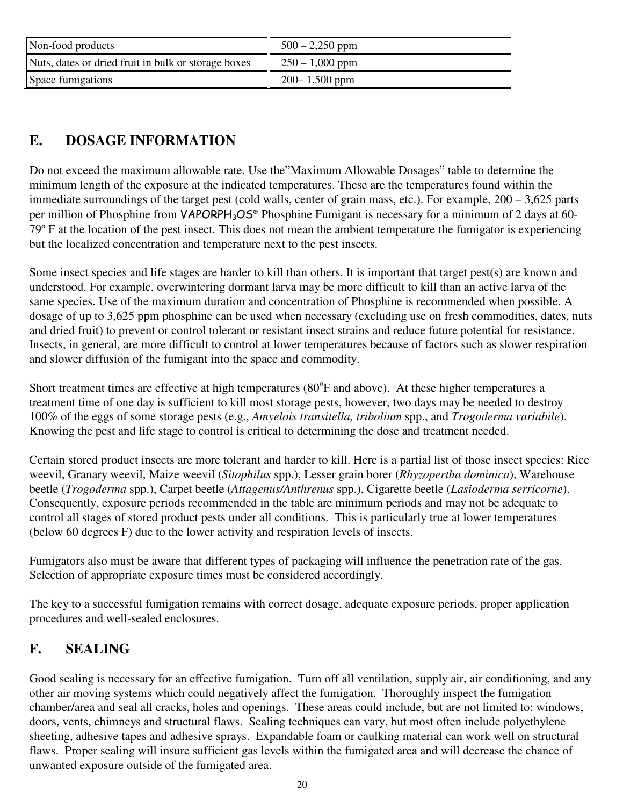| Non-food products                                   | $500 - 2,250$ ppm |
|-----------------------------------------------------|-------------------|
| Nuts, dates or dried fruit in bulk or storage boxes | $250 - 1,000$ ppm |
| Space fumigations                                   | $200 - 1,500$ ppm |

## **E. DOSAGE INFORMATION**

Do not exceed the maximum allowable rate. Use the"Maximum Allowable Dosages" table to determine the minimum length of the exposure at the indicated temperatures. These are the temperatures found within the immediate surroundings of the target pest (cold walls, center of grain mass, etc.). For example, 200 – 3,625 parts per million of Phosphine from VAPORPH<sub>3</sub>OS<sup>®</sup> Phosphine Fumigant is necessary for a minimum of 2 days at 60-79º F at the location of the pest insect. This does not mean the ambient temperature the fumigator is experiencing but the localized concentration and temperature next to the pest insects.

Some insect species and life stages are harder to kill than others. It is important that target pest(s) are known and understood. For example, overwintering dormant larva may be more difficult to kill than an active larva of the same species. Use of the maximum duration and concentration of Phosphine is recommended when possible. A dosage of up to 3,625 ppm phosphine can be used when necessary (excluding use on fresh commodities, dates, nuts and dried fruit) to prevent or control tolerant or resistant insect strains and reduce future potential for resistance. Insects, in general, are more difficult to control at lower temperatures because of factors such as slower respiration and slower diffusion of the fumigant into the space and commodity.

Short treatment times are effective at high temperatures  $(80^{\circ}F$  and above). At these higher temperatures a treatment time of one day is sufficient to kill most storage pests, however, two days may be needed to destroy 100% of the eggs of some storage pests (e.g., *Amyelois transitella, tribolium* spp., and *Trogoderma variabile*). Knowing the pest and life stage to control is critical to determining the dose and treatment needed.

Certain stored product insects are more tolerant and harder to kill. Here is a partial list of those insect species: Rice weevil, Granary weevil, Maize weevil (*Sitophilus* spp.), Lesser grain borer (*Rhyzopertha dominica*), Warehouse beetle (*Trogoderma* spp.), Carpet beetle (*Attagenus/Anthrenus* spp.), Cigarette beetle (*Lasioderma serricorne*). Consequently, exposure periods recommended in the table are minimum periods and may not be adequate to control all stages of stored product pests under all conditions. This is particularly true at lower temperatures (below 60 degrees F) due to the lower activity and respiration levels of insects.

Fumigators also must be aware that different types of packaging will influence the penetration rate of the gas. Selection of appropriate exposure times must be considered accordingly.

The key to a successful fumigation remains with correct dosage, adequate exposure periods, proper application procedures and well-sealed enclosures.

## **F. SEALING**

Good sealing is necessary for an effective fumigation. Turn off all ventilation, supply air, air conditioning, and any other air moving systems which could negatively affect the fumigation. Thoroughly inspect the fumigation chamber/area and seal all cracks, holes and openings. These areas could include, but are not limited to: windows, doors, vents, chimneys and structural flaws. Sealing techniques can vary, but most often include polyethylene sheeting, adhesive tapes and adhesive sprays. Expandable foam or caulking material can work well on structural flaws. Proper sealing will insure sufficient gas levels within the fumigated area and will decrease the chance of unwanted exposure outside of the fumigated area.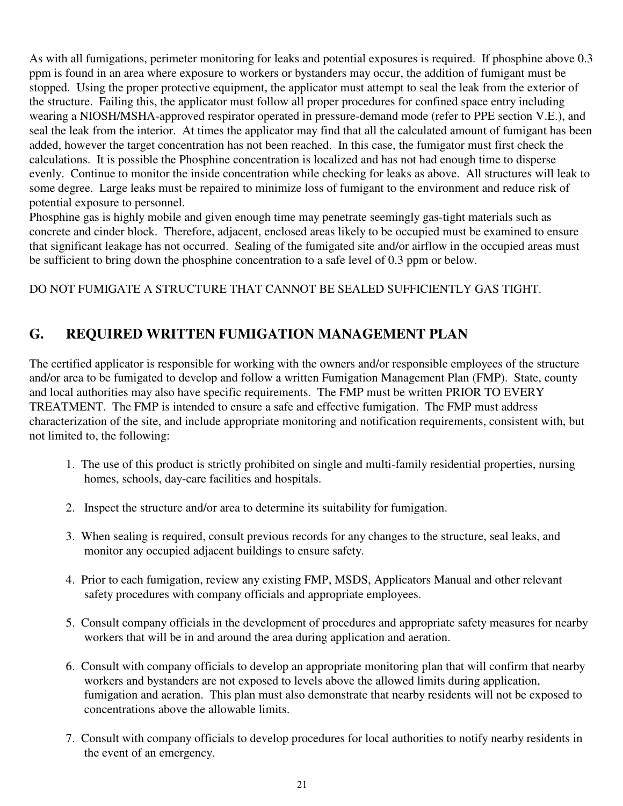As with all fumigations, perimeter monitoring for leaks and potential exposures is required. If phosphine above 0.3 ppm is found in an area where exposure to workers or bystanders may occur, the addition of fumigant must be stopped. Using the proper protective equipment, the applicator must attempt to seal the leak from the exterior of the structure. Failing this, the applicator must follow all proper procedures for confined space entry including wearing a NIOSH/MSHA-approved respirator operated in pressure-demand mode (refer to PPE section V.E.), and seal the leak from the interior. At times the applicator may find that all the calculated amount of fumigant has been added, however the target concentration has not been reached. In this case, the fumigator must first check the calculations. It is possible the Phosphine concentration is localized and has not had enough time to disperse evenly. Continue to monitor the inside concentration while checking for leaks as above. All structures will leak to some degree. Large leaks must be repaired to minimize loss of fumigant to the environment and reduce risk of potential exposure to personnel.

Phosphine gas is highly mobile and given enough time may penetrate seemingly gas-tight materials such as concrete and cinder block. Therefore, adjacent, enclosed areas likely to be occupied must be examined to ensure that significant leakage has not occurred. Sealing of the fumigated site and/or airflow in the occupied areas must be sufficient to bring down the phosphine concentration to a safe level of 0.3 ppm or below.

DO NOT FUMIGATE A STRUCTURE THAT CANNOT BE SEALED SUFFICIENTLY GAS TIGHT.

## **G. REQUIRED WRITTEN FUMIGATION MANAGEMENT PLAN**

The certified applicator is responsible for working with the owners and/or responsible employees of the structure and/or area to be fumigated to develop and follow a written Fumigation Management Plan (FMP). State, county and local authorities may also have specific requirements. The FMP must be written PRIOR TO EVERY TREATMENT. The FMP is intended to ensure a safe and effective fumigation. The FMP must address characterization of the site, and include appropriate monitoring and notification requirements, consistent with, but not limited to, the following:

- 1. The use of this product is strictly prohibited on single and multi-family residential properties, nursing homes, schools, day-care facilities and hospitals.
- 2. Inspect the structure and/or area to determine its suitability for fumigation.
- 3. When sealing is required, consult previous records for any changes to the structure, seal leaks, and monitor any occupied adjacent buildings to ensure safety.
- 4. Prior to each fumigation, review any existing FMP, MSDS, Applicators Manual and other relevant safety procedures with company officials and appropriate employees.
- 5. Consult company officials in the development of procedures and appropriate safety measures for nearby workers that will be in and around the area during application and aeration.
- 6. Consult with company officials to develop an appropriate monitoring plan that will confirm that nearby workers and bystanders are not exposed to levels above the allowed limits during application, fumigation and aeration. This plan must also demonstrate that nearby residents will not be exposed to concentrations above the allowable limits.
- 7. Consult with company officials to develop procedures for local authorities to notify nearby residents in the event of an emergency.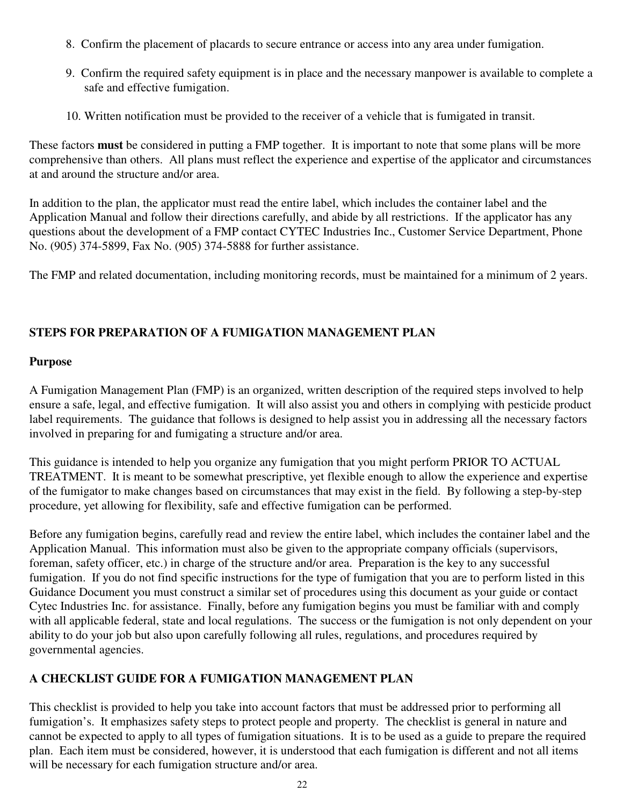- 8. Confirm the placement of placards to secure entrance or access into any area under fumigation.
- 9. Confirm the required safety equipment is in place and the necessary manpower is available to complete a safe and effective fumigation.
- 10. Written notification must be provided to the receiver of a vehicle that is fumigated in transit.

These factors **must** be considered in putting a FMP together. It is important to note that some plans will be more comprehensive than others. All plans must reflect the experience and expertise of the applicator and circumstances at and around the structure and/or area.

In addition to the plan, the applicator must read the entire label, which includes the container label and the Application Manual and follow their directions carefully, and abide by all restrictions. If the applicator has any questions about the development of a FMP contact CYTEC Industries Inc., Customer Service Department, Phone No. (905) 374-5899, Fax No. (905) 374-5888 for further assistance.

The FMP and related documentation, including monitoring records, must be maintained for a minimum of 2 years.

#### **STEPS FOR PREPARATION OF A FUMIGATION MANAGEMENT PLAN**

#### **Purpose**

A Fumigation Management Plan (FMP) is an organized, written description of the required steps involved to help ensure a safe, legal, and effective fumigation. It will also assist you and others in complying with pesticide product label requirements. The guidance that follows is designed to help assist you in addressing all the necessary factors involved in preparing for and fumigating a structure and/or area.

This guidance is intended to help you organize any fumigation that you might perform PRIOR TO ACTUAL TREATMENT. It is meant to be somewhat prescriptive, yet flexible enough to allow the experience and expertise of the fumigator to make changes based on circumstances that may exist in the field. By following a step-by-step procedure, yet allowing for flexibility, safe and effective fumigation can be performed.

Before any fumigation begins, carefully read and review the entire label, which includes the container label and the Application Manual. This information must also be given to the appropriate company officials (supervisors, foreman, safety officer, etc.) in charge of the structure and/or area. Preparation is the key to any successful fumigation. If you do not find specific instructions for the type of fumigation that you are to perform listed in this Guidance Document you must construct a similar set of procedures using this document as your guide or contact Cytec Industries Inc. for assistance. Finally, before any fumigation begins you must be familiar with and comply with all applicable federal, state and local regulations. The success or the fumigation is not only dependent on your ability to do your job but also upon carefully following all rules, regulations, and procedures required by governmental agencies.

#### **A CHECKLIST GUIDE FOR A FUMIGATION MANAGEMENT PLAN**

This checklist is provided to help you take into account factors that must be addressed prior to performing all fumigation's. It emphasizes safety steps to protect people and property. The checklist is general in nature and cannot be expected to apply to all types of fumigation situations. It is to be used as a guide to prepare the required plan. Each item must be considered, however, it is understood that each fumigation is different and not all items will be necessary for each fumigation structure and/or area.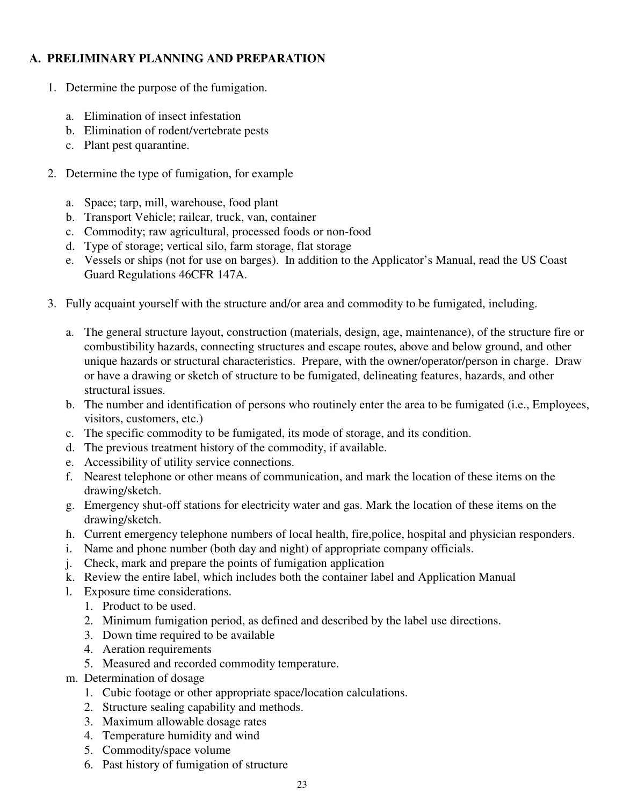#### **A. PRELIMINARY PLANNING AND PREPARATION**

- 1. Determine the purpose of the fumigation.
	- a. Elimination of insect infestation
	- b. Elimination of rodent/vertebrate pests
	- c. Plant pest quarantine.
- 2. Determine the type of fumigation, for example
	- a. Space; tarp, mill, warehouse, food plant
	- b. Transport Vehicle; railcar, truck, van, container
	- c. Commodity; raw agricultural, processed foods or non-food
	- d. Type of storage; vertical silo, farm storage, flat storage
	- e. Vessels or ships (not for use on barges). In addition to the Applicator's Manual, read the US Coast Guard Regulations 46CFR 147A.
- 3. Fully acquaint yourself with the structure and/or area and commodity to be fumigated, including.
	- a. The general structure layout, construction (materials, design, age, maintenance), of the structure fire or combustibility hazards, connecting structures and escape routes, above and below ground, and other unique hazards or structural characteristics. Prepare, with the owner/operator/person in charge. Draw or have a drawing or sketch of structure to be fumigated, delineating features, hazards, and other structural issues.
	- b. The number and identification of persons who routinely enter the area to be fumigated (i.e., Employees, visitors, customers, etc.)
	- c. The specific commodity to be fumigated, its mode of storage, and its condition.
	- d. The previous treatment history of the commodity, if available.
	- e. Accessibility of utility service connections.
	- f. Nearest telephone or other means of communication, and mark the location of these items on the drawing/sketch.
	- g. Emergency shut-off stations for electricity water and gas. Mark the location of these items on the drawing/sketch.
	- h. Current emergency telephone numbers of local health, fire,police, hospital and physician responders.
	- i. Name and phone number (both day and night) of appropriate company officials.
	- j. Check, mark and prepare the points of fumigation application
	- k. Review the entire label, which includes both the container label and Application Manual
	- l. Exposure time considerations.
		- 1. Product to be used.
		- 2. Minimum fumigation period, as defined and described by the label use directions.
		- 3. Down time required to be available
		- 4. Aeration requirements
		- 5. Measured and recorded commodity temperature.
	- m. Determination of dosage
		- 1. Cubic footage or other appropriate space/location calculations.
		- 2. Structure sealing capability and methods.
		- 3. Maximum allowable dosage rates
		- 4. Temperature humidity and wind
		- 5. Commodity/space volume
		- 6. Past history of fumigation of structure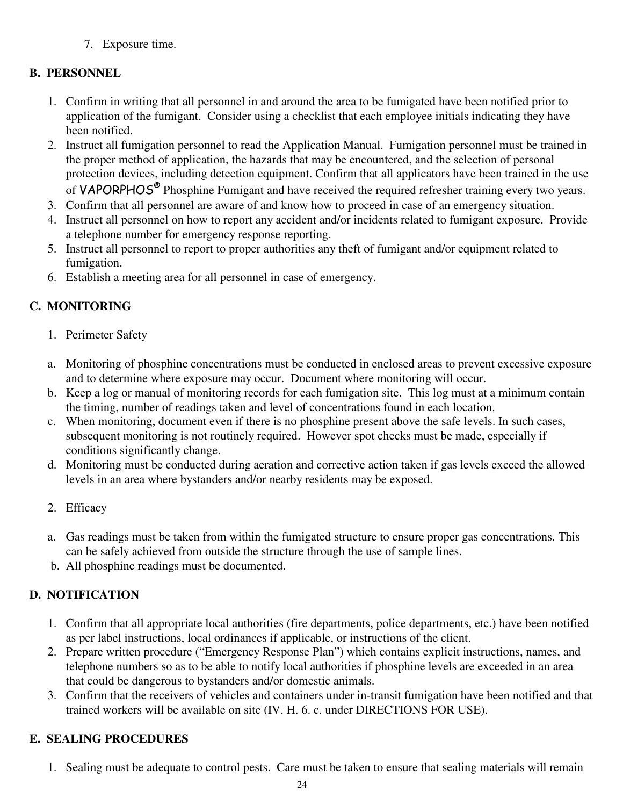7. Exposure time.

## **B. PERSONNEL**

- 1. Confirm in writing that all personnel in and around the area to be fumigated have been notified prior to application of the fumigant. Consider using a checklist that each employee initials indicating they have been notified.
- 2. Instruct all fumigation personnel to read the Application Manual. Fumigation personnel must be trained in the proper method of application, the hazards that may be encountered, and the selection of personal protection devices, including detection equipment. Confirm that all applicators have been trained in the use of VAPORPHOS<sup>®</sup> Phosphine Fumigant and have received the required refresher training every two years.
- 3. Confirm that all personnel are aware of and know how to proceed in case of an emergency situation.
- 4. Instruct all personnel on how to report any accident and/or incidents related to fumigant exposure. Provide a telephone number for emergency response reporting.
- 5. Instruct all personnel to report to proper authorities any theft of fumigant and/or equipment related to fumigation.
- 6. Establish a meeting area for all personnel in case of emergency.

## **C. MONITORING**

- 1. Perimeter Safety
- a. Monitoring of phosphine concentrations must be conducted in enclosed areas to prevent excessive exposure and to determine where exposure may occur. Document where monitoring will occur.
- b. Keep a log or manual of monitoring records for each fumigation site. This log must at a minimum contain the timing, number of readings taken and level of concentrations found in each location.
- c. When monitoring, document even if there is no phosphine present above the safe levels. In such cases, subsequent monitoring is not routinely required. However spot checks must be made, especially if conditions significantly change.
- d. Monitoring must be conducted during aeration and corrective action taken if gas levels exceed the allowed levels in an area where bystanders and/or nearby residents may be exposed.
- 2. Efficacy
- a. Gas readings must be taken from within the fumigated structure to ensure proper gas concentrations. This can be safely achieved from outside the structure through the use of sample lines.
- b. All phosphine readings must be documented.

## **D. NOTIFICATION**

- 1. Confirm that all appropriate local authorities (fire departments, police departments, etc.) have been notified as per label instructions, local ordinances if applicable, or instructions of the client.
- 2. Prepare written procedure ("Emergency Response Plan") which contains explicit instructions, names, and telephone numbers so as to be able to notify local authorities if phosphine levels are exceeded in an area that could be dangerous to bystanders and/or domestic animals.
- 3. Confirm that the receivers of vehicles and containers under in-transit fumigation have been notified and that trained workers will be available on site (IV. H. 6. c. under DIRECTIONS FOR USE).

## **E. SEALING PROCEDURES**

1. Sealing must be adequate to control pests. Care must be taken to ensure that sealing materials will remain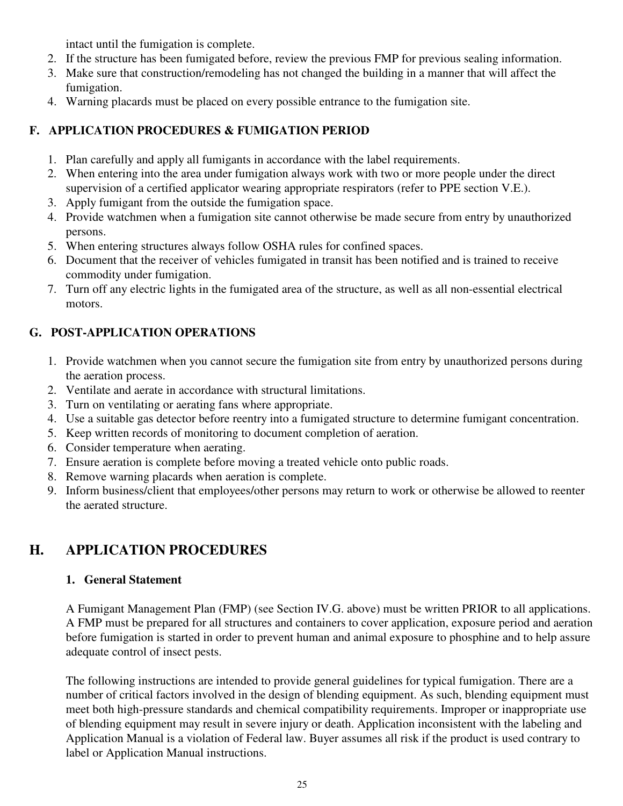intact until the fumigation is complete.

- 2. If the structure has been fumigated before, review the previous FMP for previous sealing information.
- 3. Make sure that construction/remodeling has not changed the building in a manner that will affect the fumigation.
- 4. Warning placards must be placed on every possible entrance to the fumigation site.

#### **F. APPLICATION PROCEDURES & FUMIGATION PERIOD**

- 1. Plan carefully and apply all fumigants in accordance with the label requirements.
- 2. When entering into the area under fumigation always work with two or more people under the direct supervision of a certified applicator wearing appropriate respirators (refer to PPE section V.E.).
- 3. Apply fumigant from the outside the fumigation space.
- 4. Provide watchmen when a fumigation site cannot otherwise be made secure from entry by unauthorized persons.
- 5. When entering structures always follow OSHA rules for confined spaces.
- 6. Document that the receiver of vehicles fumigated in transit has been notified and is trained to receive commodity under fumigation.
- 7. Turn off any electric lights in the fumigated area of the structure, as well as all non-essential electrical motors.

### **G. POST-APPLICATION OPERATIONS**

- 1. Provide watchmen when you cannot secure the fumigation site from entry by unauthorized persons during the aeration process.
- 2. Ventilate and aerate in accordance with structural limitations.
- 3. Turn on ventilating or aerating fans where appropriate.
- 4. Use a suitable gas detector before reentry into a fumigated structure to determine fumigant concentration.
- 5. Keep written records of monitoring to document completion of aeration.
- 6. Consider temperature when aerating.
- 7. Ensure aeration is complete before moving a treated vehicle onto public roads.
- 8. Remove warning placards when aeration is complete.
- 9. Inform business/client that employees/other persons may return to work or otherwise be allowed to reenter the aerated structure.

## **H. APPLICATION PROCEDURES**

#### **1. General Statement**

A Fumigant Management Plan (FMP) (see Section IV.G. above) must be written PRIOR to all applications. A FMP must be prepared for all structures and containers to cover application, exposure period and aeration before fumigation is started in order to prevent human and animal exposure to phosphine and to help assure adequate control of insect pests.

The following instructions are intended to provide general guidelines for typical fumigation. There are a number of critical factors involved in the design of blending equipment. As such, blending equipment must meet both high-pressure standards and chemical compatibility requirements. Improper or inappropriate use of blending equipment may result in severe injury or death. Application inconsistent with the labeling and Application Manual is a violation of Federal law. Buyer assumes all risk if the product is used contrary to label or Application Manual instructions.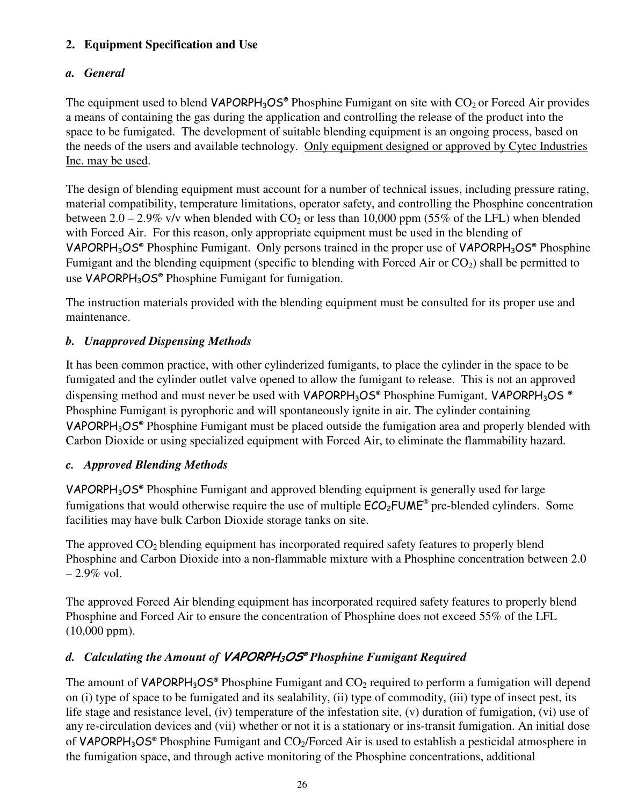#### **2. Equipment Specification and Use**

### *a. General*

The equipment used to blend  $VAPORPH_3OS^{\circ}$  Phosphine Fumigant on site with  $CO_2$  or Forced Air provides a means of containing the gas during the application and controlling the release of the product into the space to be fumigated. The development of suitable blending equipment is an ongoing process, based on the needs of the users and available technology. Only equipment designed or approved by Cytec Industries Inc. may be used.

The design of blending equipment must account for a number of technical issues, including pressure rating, material compatibility, temperature limitations, operator safety, and controlling the Phosphine concentration between 2.0 – 2.9% v/v when blended with  $CO_2$  or less than 10,000 ppm (55% of the LFL) when blended with Forced Air. For this reason, only appropriate equipment must be used in the blending of VAPORPH<sub>3</sub>OS<sup>®</sup> Phosphine Fumigant. Only persons trained in the proper use of VAPORPH<sub>3</sub>OS<sup>®</sup> Phosphine Fumigant and the blending equipment (specific to blending with Forced Air or  $CO<sub>2</sub>$ ) shall be permitted to use VAPORPH<sub>3</sub>OS® Phosphine Fumigant for fumigation.

The instruction materials provided with the blending equipment must be consulted for its proper use and maintenance.

### *b. Unapproved Dispensing Methods*

It has been common practice, with other cylinderized fumigants, to place the cylinder in the space to be fumigated and the cylinder outlet valve opened to allow the fumigant to release. This is not an approved dispensing method and must never be used with VAPORPH<sub>3</sub>OS® Phosphine Fumigant. VAPORPH<sub>3</sub>OS ® Phosphine Fumigant is pyrophoric and will spontaneously ignite in air. The cylinder containing VAPORPH<sub>3</sub>OS<sup>®</sup> Phosphine Fumigant must be placed outside the fumigation area and properly blended with Carbon Dioxide or using specialized equipment with Forced Air, to eliminate the flammability hazard.

#### *c. Approved Blending Methods*

VAPORPH<sub>3</sub>OS<sup>®</sup> Phosphine Fumigant and approved blending equipment is generally used for large fumigations that would otherwise require the use of multiple  $ECO_2$ FUME<sup>®</sup> pre-blended cylinders. Some facilities may have bulk Carbon Dioxide storage tanks on site.

The approved  $CO<sub>2</sub>$  blending equipment has incorporated required safety features to properly blend Phosphine and Carbon Dioxide into a non-flammable mixture with a Phosphine concentration between 2.0  $-2.9\%$  vol.

The approved Forced Air blending equipment has incorporated required safety features to properly blend Phosphine and Forced Air to ensure the concentration of Phosphine does not exceed 55% of the LFL (10,000 ppm).

### *d. Calculating the Amount of* VAPORPH3OS® *Phosphine Fumigant Required*

The amount of  $VAPORPH_3OS^*$  Phosphine Fumigant and  $CO_2$  required to perform a fumigation will depend on (i) type of space to be fumigated and its sealability, (ii) type of commodity, (iii) type of insect pest, its life stage and resistance level, (iv) temperature of the infestation site, (v) duration of fumigation, (vi) use of any re-circulation devices and (vii) whether or not it is a stationary or ins-transit fumigation. An initial dose of VAPORPH<sub>3</sub>OS<sup>®</sup> Phosphine Fumigant and CO<sub>2</sub>/Forced Air is used to establish a pesticidal atmosphere in the fumigation space, and through active monitoring of the Phosphine concentrations, additional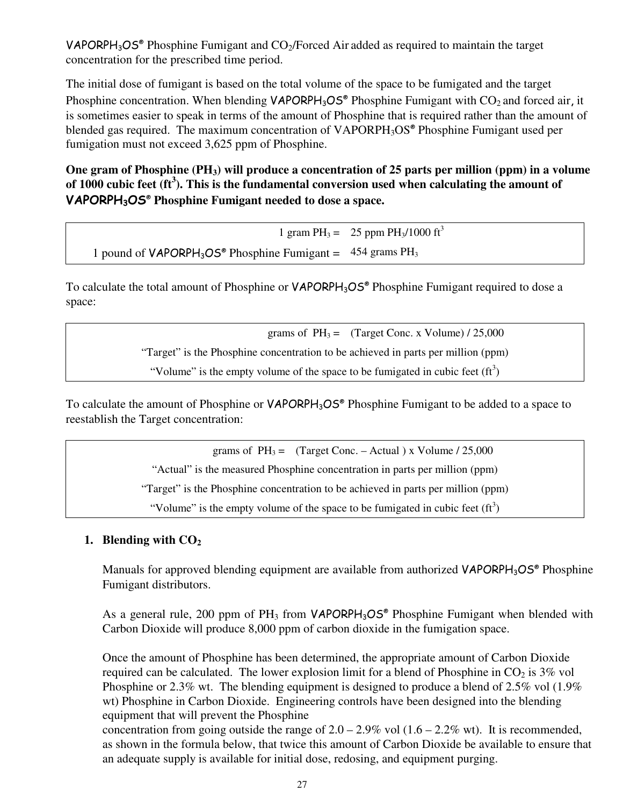VAPORPH<sub>3</sub>OS<sup>®</sup> Phosphine Fumigant and  $CO<sub>2</sub>/Forced Air added as required to maintain the target$ concentration for the prescribed time period.

The initial dose of fumigant is based on the total volume of the space to be fumigated and the target Phosphine concentration. When blending  $VAPORPH_3OS^{\circ}$  Phosphine Fumigant with  $CO_2$  and forced air, it is sometimes easier to speak in terms of the amount of Phosphine that is required rather than the amount of blended gas required. The maximum concentration of VAPORPH<sub>3</sub>OS<sup>®</sup> Phosphine Fumigant used per fumigation must not exceed 3,625 ppm of Phosphine.

**One gram of Phosphine (PH3) will produce a concentration of 25 parts per million (ppm) in a volume of 1000 cubic feet (ft<sup>3</sup> ). This is the fundamental conversion used when calculating the amount of**  VAPORPH3OS® **Phosphine Fumigant needed to dose a space.**

1 gram PH<sub>3</sub> = 25 ppm PH<sub>3</sub>/1000 ft<sup>3</sup> 1 pound of  $VAPORPH_3OS^*$  Phosphine Fumigant =  $454$  grams PH<sub>3</sub>

To calculate the total amount of Phosphine or VAPORPH<sub>3</sub>OS® Phosphine Fumigant required to dose a space:

> grams of  $PH_3 =$  (Target Conc. x Volume) / 25,000 "Target" is the Phosphine concentration to be achieved in parts per million (ppm)

"Volume" is the empty volume of the space to be fumigated in cubic feet  $(f_t^3)$ 

To calculate the amount of Phosphine or VAPORPH<sub>3</sub>OS<sup>®</sup> Phosphine Fumigant to be added to a space to reestablish the Target concentration:

grams of  $PH_3 =$  (Target Conc. – Actual) x Volume / 25,000

"Actual" is the measured Phosphine concentration in parts per million (ppm)

"Target" is the Phosphine concentration to be achieved in parts per million (ppm)

"Volume" is the empty volume of the space to be fumigated in cubic feet  $(f_t^3)$ 

#### **1. Blending with CO<sup>2</sup>**

Manuals for approved blending equipment are available from authorized VAPORPH<sub>3</sub>OS® Phosphine Fumigant distributors.

As a general rule, 200 ppm of  $PH_3$  from VAPORPH<sub>3</sub>OS<sup>®</sup> Phosphine Fumigant when blended with Carbon Dioxide will produce 8,000 ppm of carbon dioxide in the fumigation space.

Once the amount of Phosphine has been determined, the appropriate amount of Carbon Dioxide required can be calculated. The lower explosion limit for a blend of Phosphine in  $CO<sub>2</sub>$  is 3% vol Phosphine or 2.3% wt. The blending equipment is designed to produce a blend of 2.5% vol (1.9% wt) Phosphine in Carbon Dioxide. Engineering controls have been designed into the blending equipment that will prevent the Phosphine

concentration from going outside the range of  $2.0 - 2.9\%$  vol  $(1.6 - 2.2\%$  wt). It is recommended, as shown in the formula below, that twice this amount of Carbon Dioxide be available to ensure that an adequate supply is available for initial dose, redosing, and equipment purging.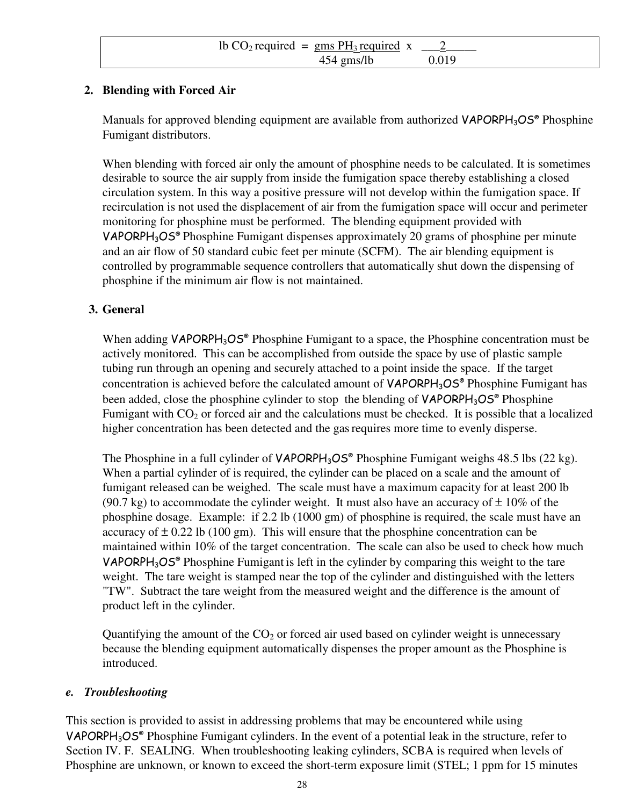| lb $CO_2$ required = gms $PH_3$ required x |       |
|--------------------------------------------|-------|
| $454$ gms/lb                               | 0.019 |

#### **2. Blending with Forced Air**

Manuals for approved blending equipment are available from authorized VAPORPH<sub>3</sub>OS® Phosphine Fumigant distributors.

When blending with forced air only the amount of phosphine needs to be calculated. It is sometimes desirable to source the air supply from inside the fumigation space thereby establishing a closed circulation system. In this way a positive pressure will not develop within the fumigation space. If recirculation is not used the displacement of air from the fumigation space will occur and perimeter monitoring for phosphine must be performed. The blending equipment provided with VAPORPH3OS® Phosphine Fumigant dispenses approximately 20 grams of phosphine per minute and an air flow of 50 standard cubic feet per minute (SCFM). The air blending equipment is controlled by programmable sequence controllers that automatically shut down the dispensing of phosphine if the minimum air flow is not maintained.

#### **3. General**

When adding  $VAPORPH<sub>3</sub>OS<sup>®</sup>$  Phosphine Fumigant to a space, the Phosphine concentration must be actively monitored. This can be accomplished from outside the space by use of plastic sample tubing run through an opening and securely attached to a point inside the space. If the target concentration is achieved before the calculated amount of  $VAPORPH_3OS^{\circ}$  Phosphine Fumigant has been added, close the phosphine cylinder to stop the blending of VAPORPH<sub>3</sub>OS<sup>®</sup> Phosphine Fumigant with  $CO<sub>2</sub>$  or forced air and the calculations must be checked. It is possible that a localized higher concentration has been detected and the gas requires more time to evenly disperse.

The Phosphine in a full cylinder of  $VAPORPH_3OS^{\circ}$  Phosphine Fumigant weighs 48.5 lbs (22 kg). When a partial cylinder of is required, the cylinder can be placed on a scale and the amount of fumigant released can be weighed. The scale must have a maximum capacity for at least 200 lb (90.7 kg) to accommodate the cylinder weight. It must also have an accuracy of  $\pm$  10% of the phosphine dosage. Example: if 2.2 lb (1000 gm) of phosphine is required, the scale must have an accuracy of  $\pm$  0.22 lb (100 gm). This will ensure that the phosphine concentration can be maintained within 10% of the target concentration. The scale can also be used to check how much VAPORPH<sub>3</sub>OS<sup>®</sup> Phosphine Fumigant is left in the cylinder by comparing this weight to the tare weight. The tare weight is stamped near the top of the cylinder and distinguished with the letters "TW". Subtract the tare weight from the measured weight and the difference is the amount of product left in the cylinder.

Quantifying the amount of the  $CO<sub>2</sub>$  or forced air used based on cylinder weight is unnecessary because the blending equipment automatically dispenses the proper amount as the Phosphine is introduced.

#### *e. Troubleshooting*

This section is provided to assist in addressing problems that may be encountered while using VAPORPH3OS® Phosphine Fumigant cylinders. In the event of a potential leak in the structure, refer to Section IV. F. SEALING. When troubleshooting leaking cylinders, SCBA is required when levels of Phosphine are unknown, or known to exceed the short-term exposure limit (STEL; 1 ppm for 15 minutes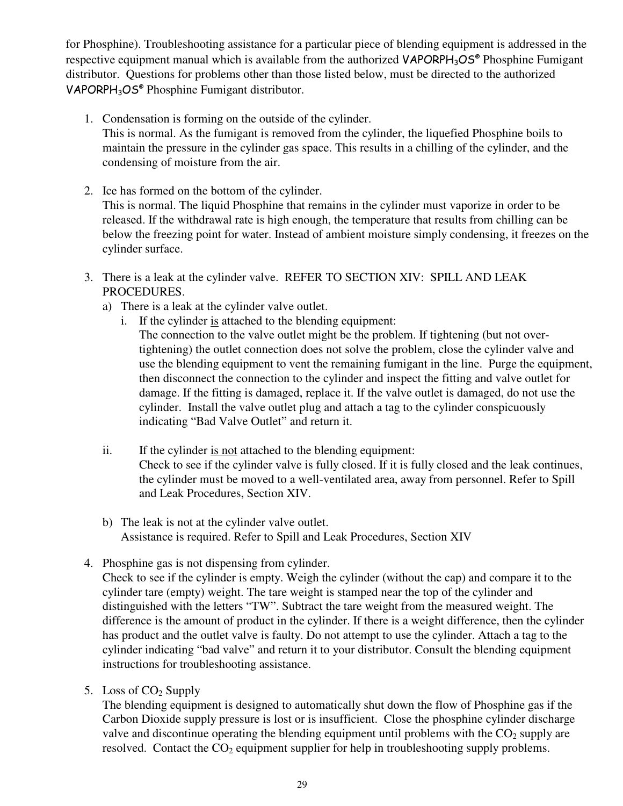for Phosphine). Troubleshooting assistance for a particular piece of blending equipment is addressed in the respective equipment manual which is available from the authorized VAPORPH<sub>3</sub>OS® Phosphine Fumigant distributor. Questions for problems other than those listed below, must be directed to the authorized VAPORPH<sub>3</sub>OS<sup>®</sup> Phosphine Fumigant distributor.

- 1. Condensation is forming on the outside of the cylinder. This is normal. As the fumigant is removed from the cylinder, the liquefied Phosphine boils to maintain the pressure in the cylinder gas space. This results in a chilling of the cylinder, and the condensing of moisture from the air.
- 2. Ice has formed on the bottom of the cylinder. This is normal. The liquid Phosphine that remains in the cylinder must vaporize in order to be released. If the withdrawal rate is high enough, the temperature that results from chilling can be below the freezing point for water. Instead of ambient moisture simply condensing, it freezes on the cylinder surface.
- 3. There is a leak at the cylinder valve. REFER TO SECTION XIV: SPILL AND LEAK PROCEDURES.
	- a) There is a leak at the cylinder valve outlet.
		- i. If the cylinder is attached to the blending equipment: The connection to the valve outlet might be the problem. If tightening (but not overtightening) the outlet connection does not solve the problem, close the cylinder valve and use the blending equipment to vent the remaining fumigant in the line. Purge the equipment, then disconnect the connection to the cylinder and inspect the fitting and valve outlet for damage. If the fitting is damaged, replace it. If the valve outlet is damaged, do not use the cylinder. Install the valve outlet plug and attach a tag to the cylinder conspicuously indicating "Bad Valve Outlet" and return it.
	- ii. If the cylinder is not attached to the blending equipment: Check to see if the cylinder valve is fully closed. If it is fully closed and the leak continues, the cylinder must be moved to a well-ventilated area, away from personnel. Refer to Spill and Leak Procedures, Section XIV.
	- b) The leak is not at the cylinder valve outlet. Assistance is required. Refer to Spill and Leak Procedures, Section XIV
- 4. Phosphine gas is not dispensing from cylinder.

Check to see if the cylinder is empty. Weigh the cylinder (without the cap) and compare it to the cylinder tare (empty) weight. The tare weight is stamped near the top of the cylinder and distinguished with the letters "TW". Subtract the tare weight from the measured weight. The difference is the amount of product in the cylinder. If there is a weight difference, then the cylinder has product and the outlet valve is faulty. Do not attempt to use the cylinder. Attach a tag to the cylinder indicating "bad valve" and return it to your distributor. Consult the blending equipment instructions for troubleshooting assistance.

5. Loss of  $CO<sub>2</sub>$  Supply

The blending equipment is designed to automatically shut down the flow of Phosphine gas if the Carbon Dioxide supply pressure is lost or is insufficient. Close the phosphine cylinder discharge valve and discontinue operating the blending equipment until problems with the  $CO<sub>2</sub>$  supply are resolved. Contact the  $CO<sub>2</sub>$  equipment supplier for help in troubleshooting supply problems.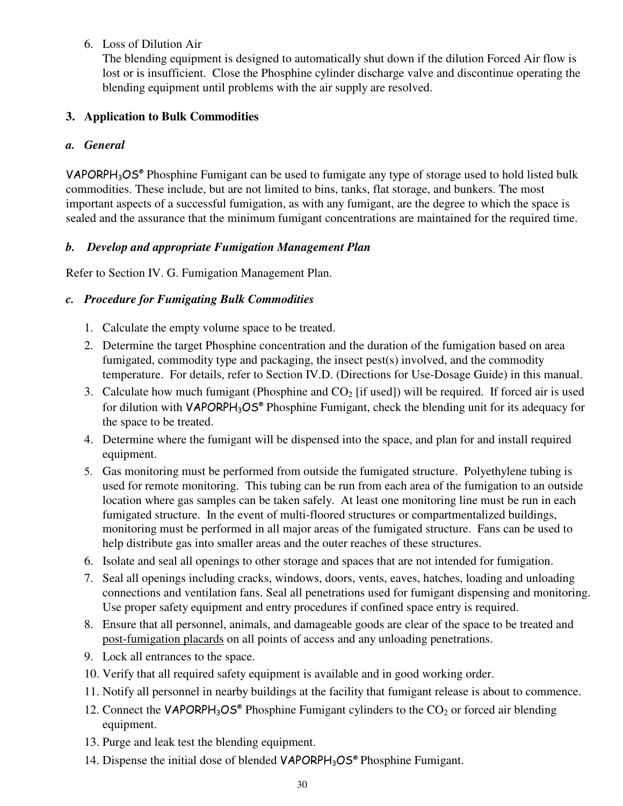6. Loss of Dilution Air

The blending equipment is designed to automatically shut down if the dilution Forced Air flow is lost or is insufficient. Close the Phosphine cylinder discharge valve and discontinue operating the blending equipment until problems with the air supply are resolved.

#### **3. Application to Bulk Commodities**

#### *a. General*

VAPORPH<sub>3</sub>OS<sup>®</sup> Phosphine Fumigant can be used to fumigate any type of storage used to hold listed bulk commodities. These include, but are not limited to bins, tanks, flat storage, and bunkers. The most important aspects of a successful fumigation, as with any fumigant, are the degree to which the space is sealed and the assurance that the minimum fumigant concentrations are maintained for the required time.

#### *b. Develop and appropriate Fumigation Management Plan*

Refer to Section IV. G. Fumigation Management Plan.

#### *c. Procedure for Fumigating Bulk Commodities*

- 1. Calculate the empty volume space to be treated.
- 2. Determine the target Phosphine concentration and the duration of the fumigation based on area fumigated, commodity type and packaging, the insect pest(s) involved, and the commodity temperature. For details, refer to Section IV.D. (Directions for Use-Dosage Guide) in this manual.
- 3. Calculate how much fumigant (Phosphine and  $CO<sub>2</sub>$  [if used]) will be required. If forced air is used for dilution with VAPORPH<sub>3</sub>OS<sup>®</sup> Phosphine Fumigant, check the blending unit for its adequacy for the space to be treated.
- 4. Determine where the fumigant will be dispensed into the space, and plan for and install required equipment.
- 5. Gas monitoring must be performed from outside the fumigated structure. Polyethylene tubing is used for remote monitoring. This tubing can be run from each area of the fumigation to an outside location where gas samples can be taken safely. At least one monitoring line must be run in each fumigated structure. In the event of multi-floored structures or compartmentalized buildings, monitoring must be performed in all major areas of the fumigated structure. Fans can be used to help distribute gas into smaller areas and the outer reaches of these structures.
- 6. Isolate and seal all openings to other storage and spaces that are not intended for fumigation.
- 7. Seal all openings including cracks, windows, doors, vents, eaves, hatches, loading and unloading connections and ventilation fans. Seal all penetrations used for fumigant dispensing and monitoring. Use proper safety equipment and entry procedures if confined space entry is required.
- 8. Ensure that all personnel, animals, and damageable goods are clear of the space to be treated and post-fumigation placards on all points of access and any unloading penetrations.
- 9. Lock all entrances to the space.
- 10. Verify that all required safety equipment is available and in good working order.
- 11. Notify all personnel in nearby buildings at the facility that fumigant release is about to commence.
- 12. Connect the VAPORPH<sub>3</sub>OS<sup>®</sup> Phosphine Fumigant cylinders to the  $CO<sub>2</sub>$  or forced air blending equipment.
- 13. Purge and leak test the blending equipment.
- 14. Dispense the initial dose of blended VAPORPH<sub>3</sub>OS® Phosphine Fumigant.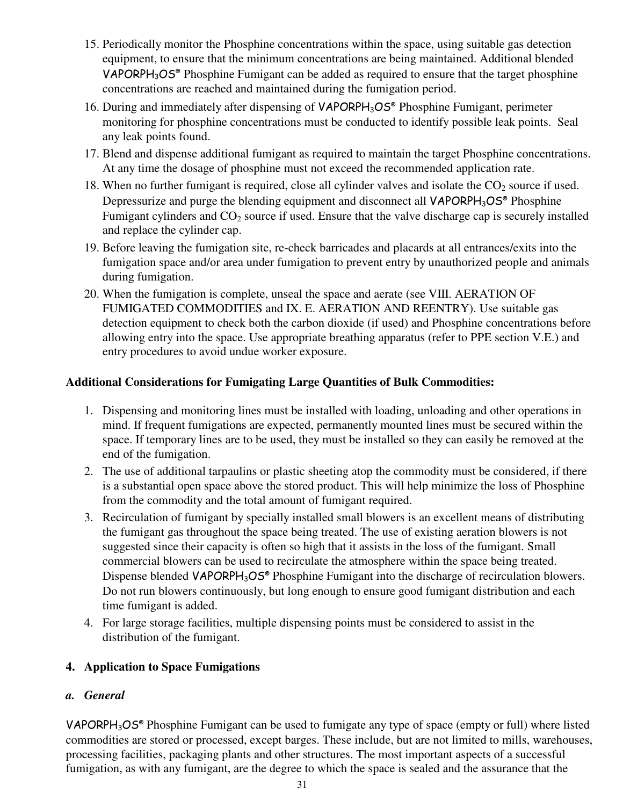- 15. Periodically monitor the Phosphine concentrations within the space, using suitable gas detection equipment, to ensure that the minimum concentrations are being maintained. Additional blended VAPORPH3OS® Phosphine Fumigant can be added as required to ensure that the target phosphine concentrations are reached and maintained during the fumigation period.
- 16. During and immediately after dispensing of VAPORPH<sub>3</sub>OS<sup>®</sup> Phosphine Fumigant, perimeter monitoring for phosphine concentrations must be conducted to identify possible leak points. Seal any leak points found.
- 17. Blend and dispense additional fumigant as required to maintain the target Phosphine concentrations. At any time the dosage of phosphine must not exceed the recommended application rate.
- 18. When no further fumigant is required, close all cylinder valves and isolate the  $CO<sub>2</sub>$  source if used. Depressurize and purge the blending equipment and disconnect all VAPORPH<sub>3</sub>OS<sup>®</sup> Phosphine Fumigant cylinders and  $CO<sub>2</sub>$  source if used. Ensure that the valve discharge cap is securely installed and replace the cylinder cap.
- 19. Before leaving the fumigation site, re-check barricades and placards at all entrances/exits into the fumigation space and/or area under fumigation to prevent entry by unauthorized people and animals during fumigation.
- 20. When the fumigation is complete, unseal the space and aerate (see VIII. AERATION OF FUMIGATED COMMODITIES and IX. E. AERATION AND REENTRY). Use suitable gas detection equipment to check both the carbon dioxide (if used) and Phosphine concentrations before allowing entry into the space. Use appropriate breathing apparatus (refer to PPE section V.E.) and entry procedures to avoid undue worker exposure.

#### **Additional Considerations for Fumigating Large Quantities of Bulk Commodities:**

- 1. Dispensing and monitoring lines must be installed with loading, unloading and other operations in mind. If frequent fumigations are expected, permanently mounted lines must be secured within the space. If temporary lines are to be used, they must be installed so they can easily be removed at the end of the fumigation.
- 2. The use of additional tarpaulins or plastic sheeting atop the commodity must be considered, if there is a substantial open space above the stored product. This will help minimize the loss of Phosphine from the commodity and the total amount of fumigant required.
- 3. Recirculation of fumigant by specially installed small blowers is an excellent means of distributing the fumigant gas throughout the space being treated. The use of existing aeration blowers is not suggested since their capacity is often so high that it assists in the loss of the fumigant. Small commercial blowers can be used to recirculate the atmosphere within the space being treated. Dispense blended VAPORPH<sub>3</sub>OS® Phosphine Fumigant into the discharge of recirculation blowers. Do not run blowers continuously, but long enough to ensure good fumigant distribution and each time fumigant is added.
- 4. For large storage facilities, multiple dispensing points must be considered to assist in the distribution of the fumigant.

#### **4. Application to Space Fumigations**

#### *a. General*

VAPORPH<sub>3</sub>OS<sup>®</sup> Phosphine Fumigant can be used to fumigate any type of space (empty or full) where listed commodities are stored or processed, except barges. These include, but are not limited to mills, warehouses, processing facilities, packaging plants and other structures. The most important aspects of a successful fumigation, as with any fumigant, are the degree to which the space is sealed and the assurance that the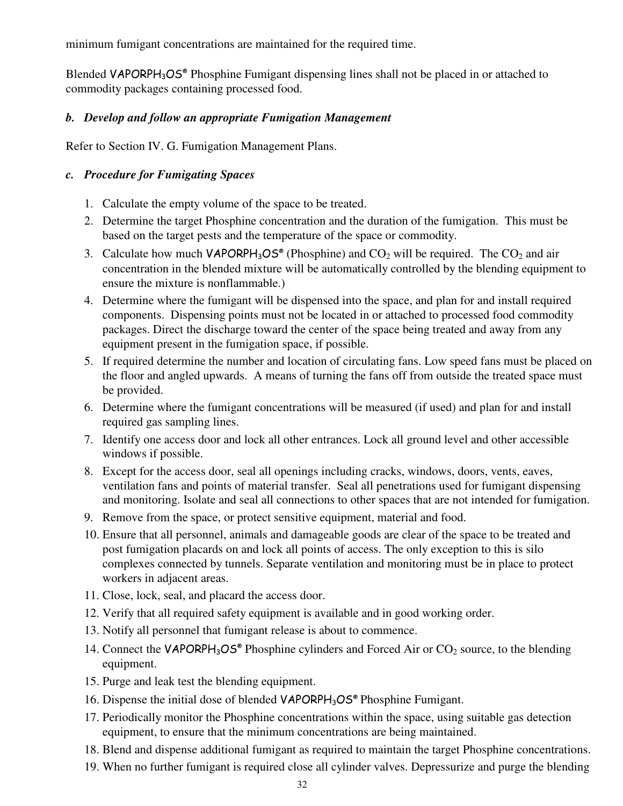minimum fumigant concentrations are maintained for the required time.

Blended VAPORPH<sub>3</sub>OS<sup>®</sup> Phosphine Fumigant dispensing lines shall not be placed in or attached to commodity packages containing processed food.

#### *b. Develop and follow an appropriate Fumigation Management*

Refer to Section IV. G. Fumigation Management Plans.

#### *c. Procedure for Fumigating Spaces*

- 1. Calculate the empty volume of the space to be treated.
- 2. Determine the target Phosphine concentration and the duration of the fumigation. This must be based on the target pests and the temperature of the space or commodity.
- 3. Calculate how much  $VAPORPH_3OS^{\circ}$  (Phosphine) and  $CO_2$  will be required. The  $CO_2$  and air concentration in the blended mixture will be automatically controlled by the blending equipment to ensure the mixture is nonflammable.)
- 4. Determine where the fumigant will be dispensed into the space, and plan for and install required components. Dispensing points must not be located in or attached to processed food commodity packages. Direct the discharge toward the center of the space being treated and away from any equipment present in the fumigation space, if possible.
- 5. If required determine the number and location of circulating fans. Low speed fans must be placed on the floor and angled upwards. A means of turning the fans off from outside the treated space must be provided.
- 6. Determine where the fumigant concentrations will be measured (if used) and plan for and install required gas sampling lines.
- 7. Identify one access door and lock all other entrances. Lock all ground level and other accessible windows if possible.
- 8. Except for the access door, seal all openings including cracks, windows, doors, vents, eaves, ventilation fans and points of material transfer. Seal all penetrations used for fumigant dispensing and monitoring. Isolate and seal all connections to other spaces that are not intended for fumigation.
- 9. Remove from the space, or protect sensitive equipment, material and food.
- 10. Ensure that all personnel, animals and damageable goods are clear of the space to be treated and post fumigation placards on and lock all points of access. The only exception to this is silo complexes connected by tunnels. Separate ventilation and monitoring must be in place to protect workers in adjacent areas.
- 11. Close, lock, seal, and placard the access door.
- 12. Verify that all required safety equipment is available and in good working order.
- 13. Notify all personnel that fumigant release is about to commence.
- 14. Connect the VAPORPH<sub>3</sub>OS<sup>®</sup> Phosphine cylinders and Forced Air or  $CO_2$  source, to the blending equipment.
- 15. Purge and leak test the blending equipment.
- 16. Dispense the initial dose of blended VAPORPH<sub>3</sub>OS<sup>®</sup> Phosphine Fumigant.
- 17. Periodically monitor the Phosphine concentrations within the space, using suitable gas detection equipment, to ensure that the minimum concentrations are being maintained.
- 18. Blend and dispense additional fumigant as required to maintain the target Phosphine concentrations.
- 19. When no further fumigant is required close all cylinder valves. Depressurize and purge the blending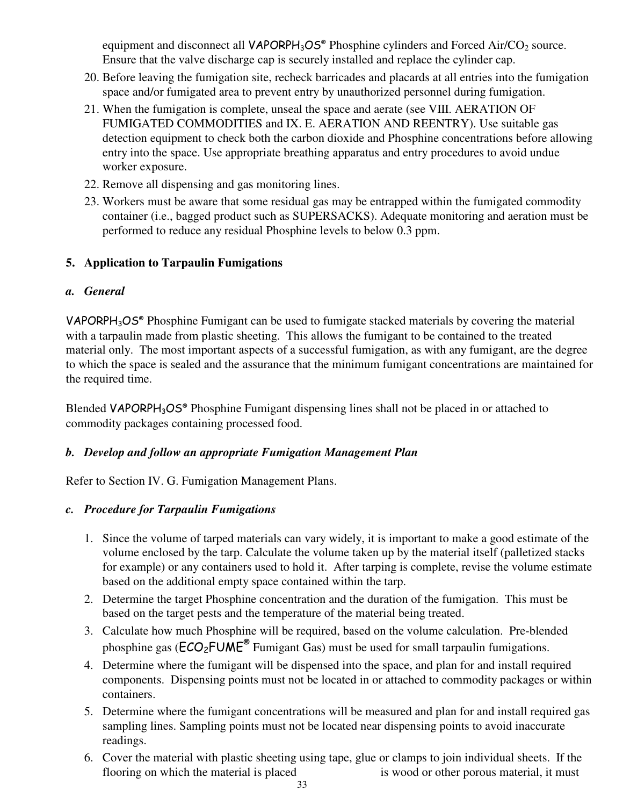equipment and disconnect all  $VAPORPH_3OS^{\circ}$  Phosphine cylinders and Forced Air/CO<sub>2</sub> source. Ensure that the valve discharge cap is securely installed and replace the cylinder cap.

- 20. Before leaving the fumigation site, recheck barricades and placards at all entries into the fumigation space and/or fumigated area to prevent entry by unauthorized personnel during fumigation.
- 21. When the fumigation is complete, unseal the space and aerate (see VIII. AERATION OF FUMIGATED COMMODITIES and IX. E. AERATION AND REENTRY). Use suitable gas detection equipment to check both the carbon dioxide and Phosphine concentrations before allowing entry into the space. Use appropriate breathing apparatus and entry procedures to avoid undue worker exposure.
- 22. Remove all dispensing and gas monitoring lines.
- 23. Workers must be aware that some residual gas may be entrapped within the fumigated commodity container (i.e., bagged product such as SUPERSACKS). Adequate monitoring and aeration must be performed to reduce any residual Phosphine levels to below 0.3 ppm.

#### **5. Application to Tarpaulin Fumigations**

#### *a. General*

VAPORPH3OS® Phosphine Fumigant can be used to fumigate stacked materials by covering the material with a tarpaulin made from plastic sheeting. This allows the fumigant to be contained to the treated material only. The most important aspects of a successful fumigation, as with any fumigant, are the degree to which the space is sealed and the assurance that the minimum fumigant concentrations are maintained for the required time.

Blended VAPORPH<sub>3</sub>OS<sup>®</sup> Phosphine Fumigant dispensing lines shall not be placed in or attached to commodity packages containing processed food.

#### *b. Develop and follow an appropriate Fumigation Management Plan*

Refer to Section IV. G. Fumigation Management Plans.

#### *c. Procedure for Tarpaulin Fumigations*

- 1. Since the volume of tarped materials can vary widely, it is important to make a good estimate of the volume enclosed by the tarp. Calculate the volume taken up by the material itself (palletized stacks for example) or any containers used to hold it. After tarping is complete, revise the volume estimate based on the additional empty space contained within the tarp.
- 2. Determine the target Phosphine concentration and the duration of the fumigation. This must be based on the target pests and the temperature of the material being treated.
- 3. Calculate how much Phosphine will be required, based on the volume calculation. Pre-blended phosphine gas ( $\text{ECO}_2\text{FUME}^{\otimes}$  Fumigant Gas) must be used for small tarpaulin fumigations.
- 4. Determine where the fumigant will be dispensed into the space, and plan for and install required components. Dispensing points must not be located in or attached to commodity packages or within containers.
- 5. Determine where the fumigant concentrations will be measured and plan for and install required gas sampling lines. Sampling points must not be located near dispensing points to avoid inaccurate readings.
- 6. Cover the material with plastic sheeting using tape, glue or clamps to join individual sheets. If the flooring on which the material is placed is wood or other porous material, it must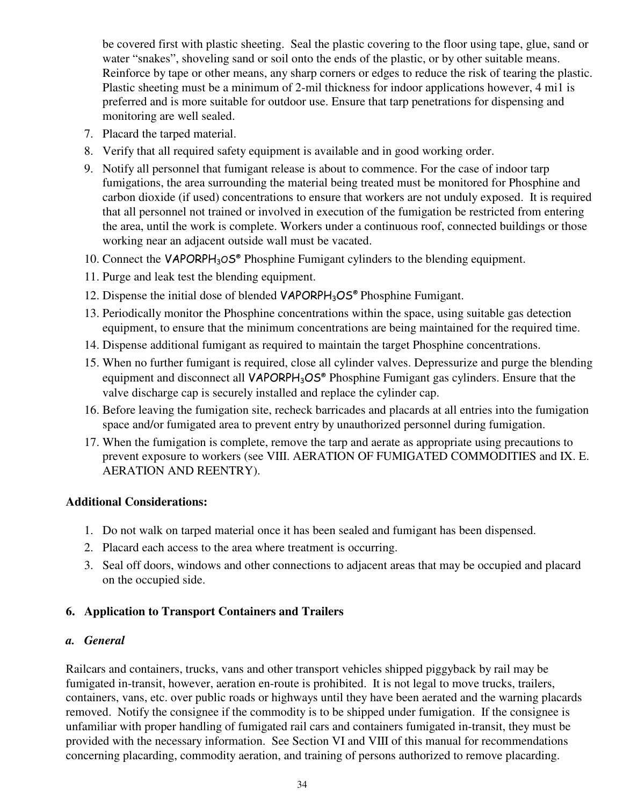be covered first with plastic sheeting. Seal the plastic covering to the floor using tape, glue, sand or water "snakes", shoveling sand or soil onto the ends of the plastic, or by other suitable means. Reinforce by tape or other means, any sharp corners or edges to reduce the risk of tearing the plastic. Plastic sheeting must be a minimum of 2-mil thickness for indoor applications however, 4 mi1 is preferred and is more suitable for outdoor use. Ensure that tarp penetrations for dispensing and monitoring are well sealed.

- 7. Placard the tarped material.
- 8. Verify that all required safety equipment is available and in good working order.
- 9. Notify all personnel that fumigant release is about to commence. For the case of indoor tarp fumigations, the area surrounding the material being treated must be monitored for Phosphine and carbon dioxide (if used) concentrations to ensure that workers are not unduly exposed. It is required that all personnel not trained or involved in execution of the fumigation be restricted from entering the area, until the work is complete. Workers under a continuous roof, connected buildings or those working near an adjacent outside wall must be vacated.
- 10. Connect the VAPORPH<sub>3</sub>OS<sup>®</sup> Phosphine Fumigant cylinders to the blending equipment.
- 11. Purge and leak test the blending equipment.
- 12. Dispense the initial dose of blended VAPORPH<sub>3</sub>OS<sup>®</sup> Phosphine Fumigant.
- 13. Periodically monitor the Phosphine concentrations within the space, using suitable gas detection equipment, to ensure that the minimum concentrations are being maintained for the required time.
- 14. Dispense additional fumigant as required to maintain the target Phosphine concentrations.
- 15. When no further fumigant is required, close all cylinder valves. Depressurize and purge the blending equipment and disconnect all VAPORPH<sub>3</sub>OS<sup>®</sup> Phosphine Fumigant gas cylinders. Ensure that the valve discharge cap is securely installed and replace the cylinder cap.
- 16. Before leaving the fumigation site, recheck barricades and placards at all entries into the fumigation space and/or fumigated area to prevent entry by unauthorized personnel during fumigation.
- 17. When the fumigation is complete, remove the tarp and aerate as appropriate using precautions to prevent exposure to workers (see VIII. AERATION OF FUMIGATED COMMODITIES and IX. E. AERATION AND REENTRY).

#### **Additional Considerations:**

- 1. Do not walk on tarped material once it has been sealed and fumigant has been dispensed.
- 2. Placard each access to the area where treatment is occurring.
- 3. Seal off doors, windows and other connections to adjacent areas that may be occupied and placard on the occupied side.

#### **6. Application to Transport Containers and Trailers**

#### *a. General*

Railcars and containers, trucks, vans and other transport vehicles shipped piggyback by rail may be fumigated in-transit, however, aeration en-route is prohibited. It is not legal to move trucks, trailers, containers, vans, etc. over public roads or highways until they have been aerated and the warning placards removed. Notify the consignee if the commodity is to be shipped under fumigation. If the consignee is unfamiliar with proper handling of fumigated rail cars and containers fumigated in-transit, they must be provided with the necessary information. See Section VI and VIII of this manual for recommendations concerning placarding, commodity aeration, and training of persons authorized to remove placarding.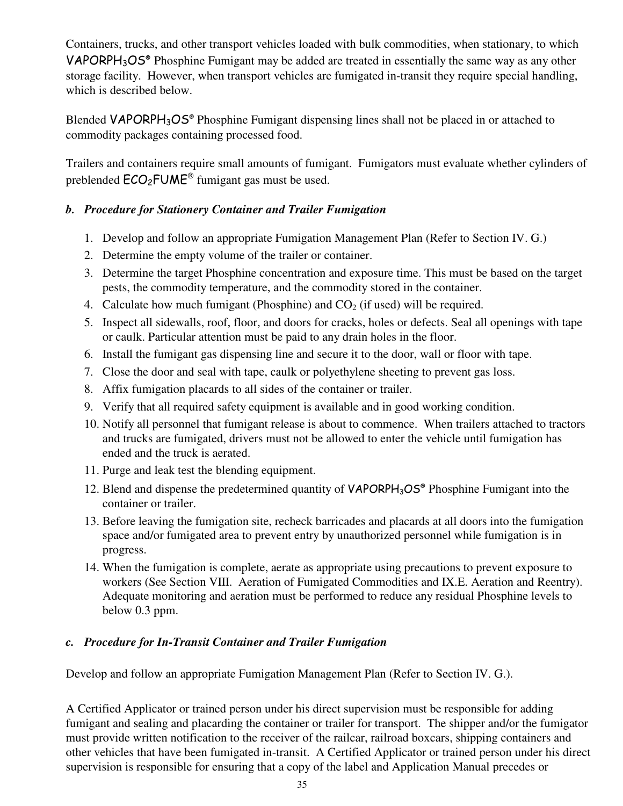Containers, trucks, and other transport vehicles loaded with bulk commodities, when stationary, to which **VAPORPH<sub>3</sub>OS<sup>®</sup>** Phosphine Fumigant may be added are treated in essentially the same way as any other storage facility. However, when transport vehicles are fumigated in-transit they require special handling, which is described below.

Blended VAPORPH<sub>3</sub>OS<sup>®</sup> Phosphine Fumigant dispensing lines shall not be placed in or attached to commodity packages containing processed food.

Trailers and containers require small amounts of fumigant. Fumigators must evaluate whether cylinders of preblended  $\text{ECO}_2\text{FUME}^{\text{\textcircled{e}}}$  fumigant gas must be used.

#### *b. Procedure for Stationery Container and Trailer Fumigation*

- 1. Develop and follow an appropriate Fumigation Management Plan (Refer to Section IV. G.)
- 2. Determine the empty volume of the trailer or container.
- 3. Determine the target Phosphine concentration and exposure time. This must be based on the target pests, the commodity temperature, and the commodity stored in the container.
- 4. Calculate how much fumigant (Phosphine) and  $CO<sub>2</sub>$  (if used) will be required.
- 5. Inspect all sidewalls, roof, floor, and doors for cracks, holes or defects. Seal all openings with tape or caulk. Particular attention must be paid to any drain holes in the floor.
- 6. Install the fumigant gas dispensing line and secure it to the door, wall or floor with tape.
- 7. Close the door and seal with tape, caulk or polyethylene sheeting to prevent gas loss.
- 8. Affix fumigation placards to all sides of the container or trailer.
- 9. Verify that all required safety equipment is available and in good working condition.
- 10. Notify all personnel that fumigant release is about to commence. When trailers attached to tractors and trucks are fumigated, drivers must not be allowed to enter the vehicle until fumigation has ended and the truck is aerated.
- 11. Purge and leak test the blending equipment.
- 12. Blend and dispense the predetermined quantity of VAPORPH<sub>3</sub>OS<sup>®</sup> Phosphine Fumigant into the container or trailer.
- 13. Before leaving the fumigation site, recheck barricades and placards at all doors into the fumigation space and/or fumigated area to prevent entry by unauthorized personnel while fumigation is in progress.
- 14. When the fumigation is complete, aerate as appropriate using precautions to prevent exposure to workers (See Section VIII. Aeration of Fumigated Commodities and IX.E. Aeration and Reentry). Adequate monitoring and aeration must be performed to reduce any residual Phosphine levels to below 0.3 ppm.

#### *c. Procedure for In-Transit Container and Trailer Fumigation*

Develop and follow an appropriate Fumigation Management Plan (Refer to Section IV. G.).

A Certified Applicator or trained person under his direct supervision must be responsible for adding fumigant and sealing and placarding the container or trailer for transport. The shipper and/or the fumigator must provide written notification to the receiver of the railcar, railroad boxcars, shipping containers and other vehicles that have been fumigated in-transit. A Certified Applicator or trained person under his direct supervision is responsible for ensuring that a copy of the label and Application Manual precedes or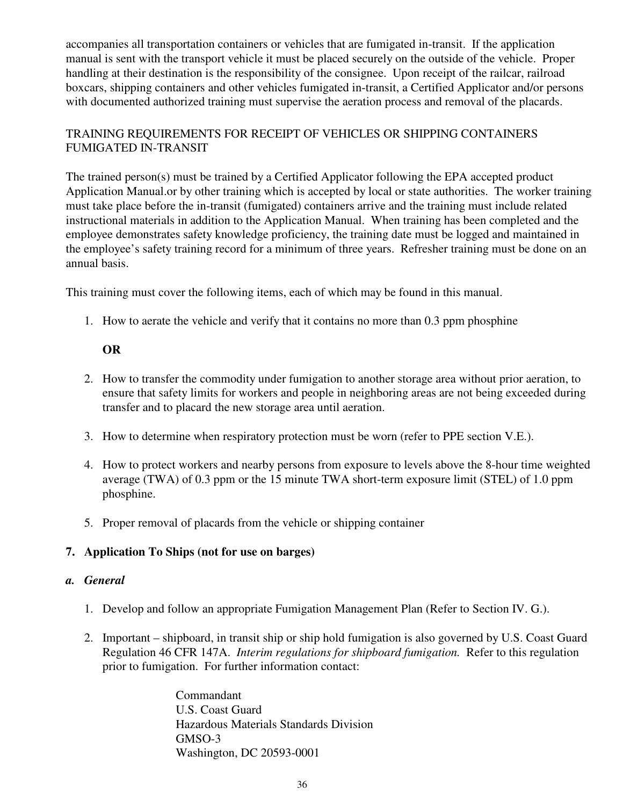accompanies all transportation containers or vehicles that are fumigated in-transit. If the application manual is sent with the transport vehicle it must be placed securely on the outside of the vehicle. Proper handling at their destination is the responsibility of the consignee. Upon receipt of the railcar, railroad boxcars, shipping containers and other vehicles fumigated in-transit, a Certified Applicator and/or persons with documented authorized training must supervise the aeration process and removal of the placards.

#### TRAINING REQUIREMENTS FOR RECEIPT OF VEHICLES OR SHIPPING CONTAINERS FUMIGATED IN-TRANSIT

The trained person(s) must be trained by a Certified Applicator following the EPA accepted product Application Manual.or by other training which is accepted by local or state authorities. The worker training must take place before the in-transit (fumigated) containers arrive and the training must include related instructional materials in addition to the Application Manual. When training has been completed and the employee demonstrates safety knowledge proficiency, the training date must be logged and maintained in the employee's safety training record for a minimum of three years. Refresher training must be done on an annual basis.

This training must cover the following items, each of which may be found in this manual.

1. How to aerate the vehicle and verify that it contains no more than 0.3 ppm phosphine

#### **OR**

- 2. How to transfer the commodity under fumigation to another storage area without prior aeration, to ensure that safety limits for workers and people in neighboring areas are not being exceeded during transfer and to placard the new storage area until aeration.
- 3. How to determine when respiratory protection must be worn (refer to PPE section V.E.).
- 4. How to protect workers and nearby persons from exposure to levels above the 8-hour time weighted average (TWA) of 0.3 ppm or the 15 minute TWA short-term exposure limit (STEL) of 1.0 ppm phosphine.
- 5. Proper removal of placards from the vehicle or shipping container

#### **7. Application To Ships (not for use on barges)**

#### *a. General*

- 1. Develop and follow an appropriate Fumigation Management Plan (Refer to Section IV. G.).
- 2. Important shipboard, in transit ship or ship hold fumigation is also governed by U.S. Coast Guard Regulation 46 CFR 147A. *Interim regulations for shipboard fumigation.* Refer to this regulation prior to fumigation. For further information contact:

Commandant U.S. Coast Guard Hazardous Materials Standards Division GMSO-3 Washington, DC 20593-0001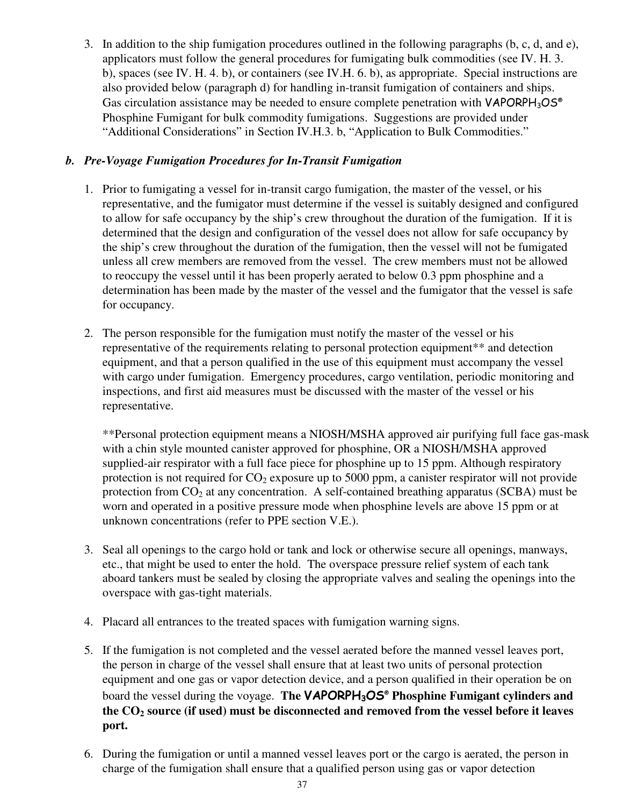3. In addition to the ship fumigation procedures outlined in the following paragraphs (b, c, d, and e), applicators must follow the general procedures for fumigating bulk commodities (see IV. H. 3. b), spaces (see IV. H. 4. b), or containers (see IV.H. 6. b), as appropriate. Special instructions are also provided below (paragraph d) for handling in-transit fumigation of containers and ships. Gas circulation assistance may be needed to ensure complete penetration with  $VAPORPH<sub>3</sub>OS<sup>®</sup>$ Phosphine Fumigant for bulk commodity fumigations. Suggestions are provided under "Additional Considerations" in Section IV.H.3. b, "Application to Bulk Commodities."

#### *b. Pre-Voyage Fumigation Procedures for In-Transit Fumigation*

- 1. Prior to fumigating a vessel for in-transit cargo fumigation, the master of the vessel, or his representative, and the fumigator must determine if the vessel is suitably designed and configured to allow for safe occupancy by the ship's crew throughout the duration of the fumigation. If it is determined that the design and configuration of the vessel does not allow for safe occupancy by the ship's crew throughout the duration of the fumigation, then the vessel will not be fumigated unless all crew members are removed from the vessel. The crew members must not be allowed to reoccupy the vessel until it has been properly aerated to below 0.3 ppm phosphine and a determination has been made by the master of the vessel and the fumigator that the vessel is safe for occupancy.
- 2. The person responsible for the fumigation must notify the master of the vessel or his representative of the requirements relating to personal protection equipment\*\* and detection equipment, and that a person qualified in the use of this equipment must accompany the vessel with cargo under fumigation. Emergency procedures, cargo ventilation, periodic monitoring and inspections, and first aid measures must be discussed with the master of the vessel or his representative.

\*\*Personal protection equipment means a NIOSH/MSHA approved air purifying full face gas-mask with a chin style mounted canister approved for phosphine, OR a NIOSH/MSHA approved supplied-air respirator with a full face piece for phosphine up to 15 ppm. Although respiratory protection is not required for  $CO<sub>2</sub>$  exposure up to 5000 ppm, a canister respirator will not provide protection from  $CO<sub>2</sub>$  at any concentration. A self-contained breathing apparatus (SCBA) must be worn and operated in a positive pressure mode when phosphine levels are above 15 ppm or at unknown concentrations (refer to PPE section V.E.).

- 3. Seal all openings to the cargo hold or tank and lock or otherwise secure all openings, manways, etc., that might be used to enter the hold. The overspace pressure relief system of each tank aboard tankers must be sealed by closing the appropriate valves and sealing the openings into the overspace with gas-tight materials.
- 4. Placard all entrances to the treated spaces with fumigation warning signs.
- 5. If the fumigation is not completed and the vessel aerated before the manned vessel leaves port, the person in charge of the vessel shall ensure that at least two units of personal protection equipment and one gas or vapor detection device, and a person qualified in their operation be on board the vessel during the voyage. **The** VAPORPH3OS®  **Phosphine Fumigant cylinders and the CO2 source (if used) must be disconnected and removed from the vessel before it leaves port.**
- 6. During the fumigation or until a manned vessel leaves port or the cargo is aerated, the person in charge of the fumigation shall ensure that a qualified person using gas or vapor detection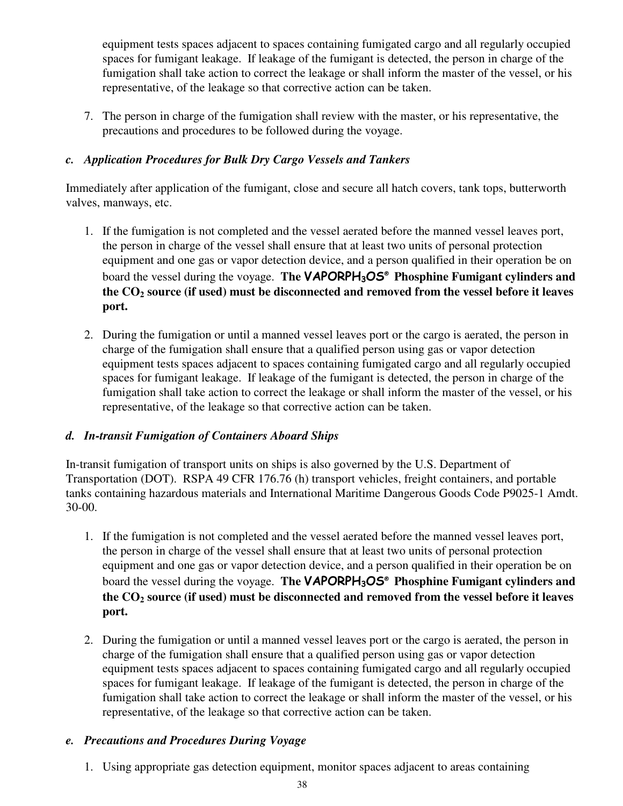equipment tests spaces adjacent to spaces containing fumigated cargo and all regularly occupied spaces for fumigant leakage. If leakage of the fumigant is detected, the person in charge of the fumigation shall take action to correct the leakage or shall inform the master of the vessel, or his representative, of the leakage so that corrective action can be taken.

7. The person in charge of the fumigation shall review with the master, or his representative, the precautions and procedures to be followed during the voyage.

#### *c. Application Procedures for Bulk Dry Cargo Vessels and Tankers*

Immediately after application of the fumigant, close and secure all hatch covers, tank tops, butterworth valves, manways, etc.

- 1. If the fumigation is not completed and the vessel aerated before the manned vessel leaves port, the person in charge of the vessel shall ensure that at least two units of personal protection equipment and one gas or vapor detection device, and a person qualified in their operation be on board the vessel during the voyage. **The** VAPORPH3OS® **Phosphine Fumigant cylinders and the CO2 source (if used) must be disconnected and removed from the vessel before it leaves port.**
- 2. During the fumigation or until a manned vessel leaves port or the cargo is aerated, the person in charge of the fumigation shall ensure that a qualified person using gas or vapor detection equipment tests spaces adjacent to spaces containing fumigated cargo and all regularly occupied spaces for fumigant leakage. If leakage of the fumigant is detected, the person in charge of the fumigation shall take action to correct the leakage or shall inform the master of the vessel, or his representative, of the leakage so that corrective action can be taken.

#### *d. In-transit Fumigation of Containers Aboard Ships*

In-transit fumigation of transport units on ships is also governed by the U.S. Department of Transportation (DOT). RSPA 49 CFR 176.76 (h) transport vehicles, freight containers, and portable tanks containing hazardous materials and International Maritime Dangerous Goods Code P9025-1 Amdt. 30-00.

- 1. If the fumigation is not completed and the vessel aerated before the manned vessel leaves port, the person in charge of the vessel shall ensure that at least two units of personal protection equipment and one gas or vapor detection device, and a person qualified in their operation be on board the vessel during the voyage. **The** VAPORPH3OS® **Phosphine Fumigant cylinders and the CO2 source (if used) must be disconnected and removed from the vessel before it leaves port.**
- 2. During the fumigation or until a manned vessel leaves port or the cargo is aerated, the person in charge of the fumigation shall ensure that a qualified person using gas or vapor detection equipment tests spaces adjacent to spaces containing fumigated cargo and all regularly occupied spaces for fumigant leakage. If leakage of the fumigant is detected, the person in charge of the fumigation shall take action to correct the leakage or shall inform the master of the vessel, or his representative, of the leakage so that corrective action can be taken.

#### *e. Precautions and Procedures During Voyage*

1. Using appropriate gas detection equipment, monitor spaces adjacent to areas containing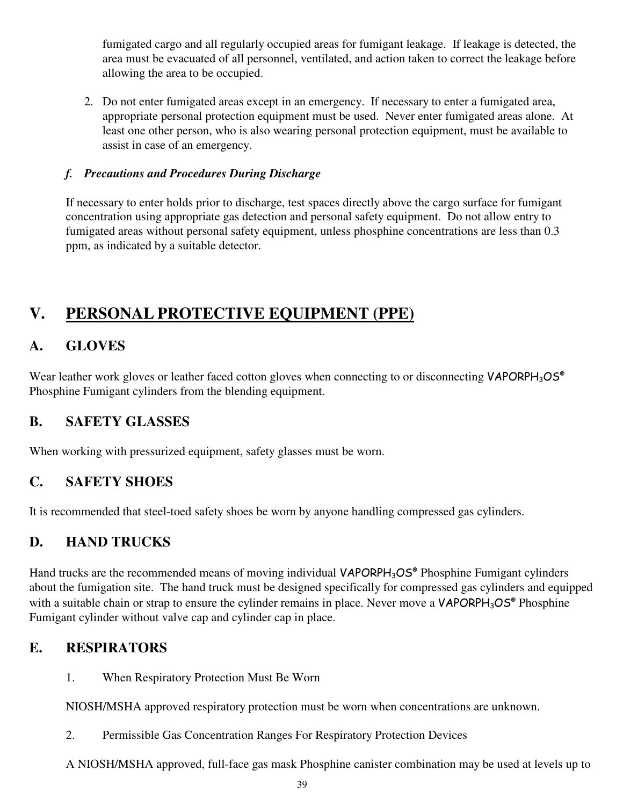fumigated cargo and all regularly occupied areas for fumigant leakage. If leakage is detected, the area must be evacuated of all personnel, ventilated, and action taken to correct the leakage before allowing the area to be occupied.

2. Do not enter fumigated areas except in an emergency. If necessary to enter a fumigated area, appropriate personal protection equipment must be used. Never enter fumigated areas alone. At least one other person, who is also wearing personal protection equipment, must be available to assist in case of an emergency.

#### *f. Precautions and Procedures During Discharge*

If necessary to enter holds prior to discharge, test spaces directly above the cargo surface for fumigant concentration using appropriate gas detection and personal safety equipment. Do not allow entry to fumigated areas without personal safety equipment, unless phosphine concentrations are less than 0.3 ppm, as indicated by a suitable detector.

# **V. PERSONAL PROTECTIVE EQUIPMENT (PPE)**

## **A. GLOVES**

Wear leather work gloves or leather faced cotton gloves when connecting to or disconnecting VAPORPH<sub>3</sub>OS<sup>®</sup> Phosphine Fumigant cylinders from the blending equipment.

## **B. SAFETY GLASSES**

When working with pressurized equipment, safety glasses must be worn.

## **C. SAFETY SHOES**

It is recommended that steel-toed safety shoes be worn by anyone handling compressed gas cylinders.

## **D. HAND TRUCKS**

Hand trucks are the recommended means of moving individual VAPORPH<sub>3</sub>OS® Phosphine Fumigant cylinders about the fumigation site. The hand truck must be designed specifically for compressed gas cylinders and equipped with a suitable chain or strap to ensure the cylinder remains in place. Never move a VAPORPH<sub>3</sub>OS<sup>®</sup> Phosphine Fumigant cylinder without valve cap and cylinder cap in place.

## **E. RESPIRATORS**

1. When Respiratory Protection Must Be Worn

NIOSH/MSHA approved respiratory protection must be worn when concentrations are unknown.

- 2. Permissible Gas Concentration Ranges For Respiratory Protection Devices
- A NIOSH/MSHA approved, full-face gas mask Phosphine canister combination may be used at levels up to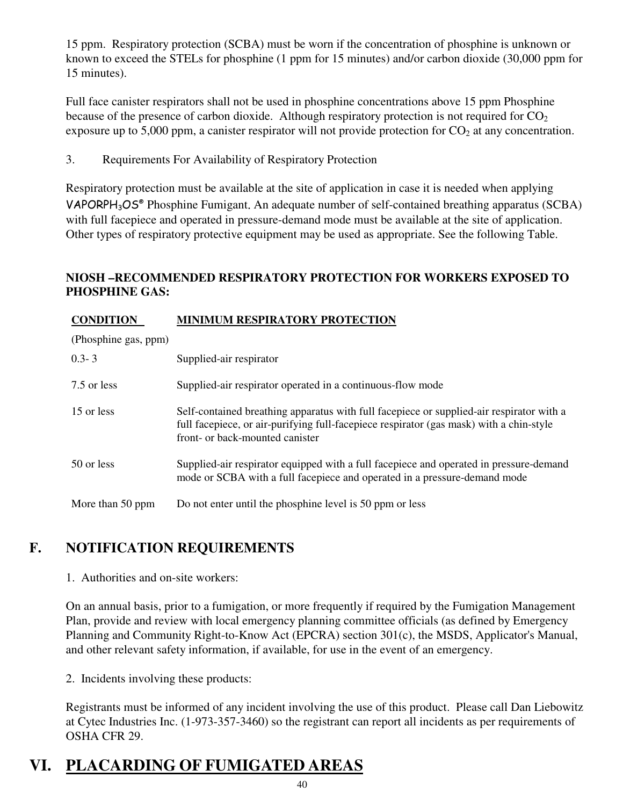15 ppm. Respiratory protection (SCBA) must be worn if the concentration of phosphine is unknown or known to exceed the STELs for phosphine (1 ppm for 15 minutes) and/or carbon dioxide (30,000 ppm for 15 minutes).

Full face canister respirators shall not be used in phosphine concentrations above 15 ppm Phosphine because of the presence of carbon dioxide. Although respiratory protection is not required for  $CO<sub>2</sub>$ exposure up to 5,000 ppm, a canister respirator will not provide protection for  $CO<sub>2</sub>$  at any concentration.

3. Requirements For Availability of Respiratory Protection

Respiratory protection must be available at the site of application in case it is needed when applying VAPORPH3OS® Phosphine Fumigant. An adequate number of self-contained breathing apparatus (SCBA) with full facepiece and operated in pressure-demand mode must be available at the site of application. Other types of respiratory protective equipment may be used as appropriate. See the following Table.

#### **NIOSH –RECOMMENDED RESPIRATORY PROTECTION FOR WORKERS EXPOSED TO PHOSPHINE GAS:**

#### **CONDITION MINIMUM RESPIRATORY PROTECTION**

(Phosphine gas, ppm)

| $0.3 - 3$        | Supplied-air respirator                                                                                                                                                                                                |
|------------------|------------------------------------------------------------------------------------------------------------------------------------------------------------------------------------------------------------------------|
| 7.5 or less      | Supplied-air respirator operated in a continuous-flow mode                                                                                                                                                             |
| 15 or less       | Self-contained breathing apparatus with full facepiece or supplied-air respirator with a<br>full facepiece, or air-purifying full-facepiece respirator (gas mask) with a chin-style<br>front- or back-mounted canister |
| 50 or less       | Supplied-air respirator equipped with a full facepiece and operated in pressure-demand<br>mode or SCBA with a full facepiece and operated in a pressure-demand mode                                                    |
| More than 50 ppm | Do not enter until the phosphine level is 50 ppm or less                                                                                                                                                               |

## **F. NOTIFICATION REQUIREMENTS**

1. Authorities and on-site workers:

On an annual basis, prior to a fumigation, or more frequently if required by the Fumigation Management Plan, provide and review with local emergency planning committee officials (as defined by Emergency Planning and Community Right-to-Know Act (EPCRA) section 301(c), the MSDS, Applicator's Manual, and other relevant safety information, if available, for use in the event of an emergency.

2. Incidents involving these products:

Registrants must be informed of any incident involving the use of this product. Please call Dan Liebowitz at Cytec Industries Inc. (1-973-357-3460) so the registrant can report all incidents as per requirements of OSHA CFR 29.

# **VI. PLACARDING OF FUMIGATED AREAS**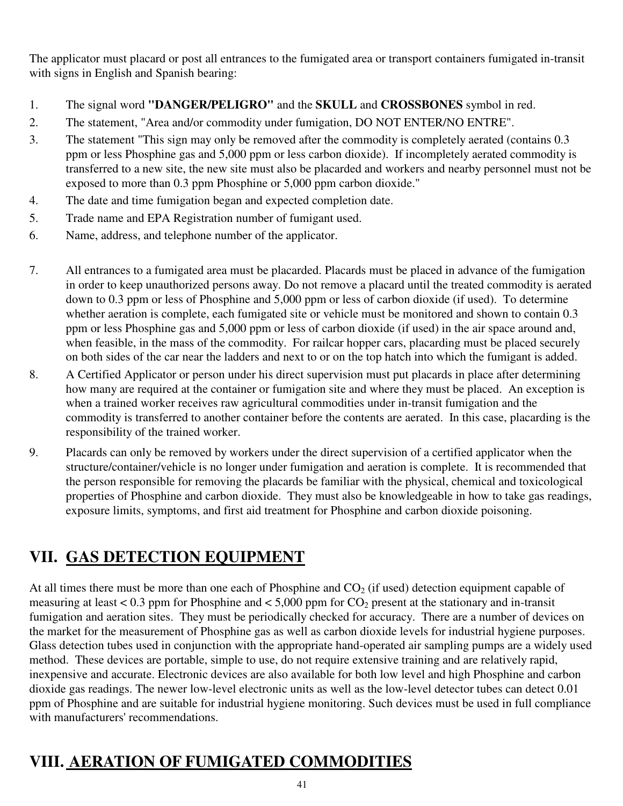The applicator must placard or post all entrances to the fumigated area or transport containers fumigated in-transit with signs in English and Spanish bearing:

- 1. The signal word **"DANGER/PELIGRO"** and the **SKULL** and **CROSSBONES** symbol in red.
- 2. The statement, "Area and/or commodity under fumigation, DO NOT ENTER/NO ENTRE".
- 3. The statement "This sign may only be removed after the commodity is completely aerated (contains 0.3 ppm or less Phosphine gas and 5,000 ppm or less carbon dioxide). If incompletely aerated commodity is transferred to a new site, the new site must also be placarded and workers and nearby personnel must not be exposed to more than 0.3 ppm Phosphine or 5,000 ppm carbon dioxide."
- 4. The date and time fumigation began and expected completion date.
- 5. Trade name and EPA Registration number of fumigant used.
- 6. Name, address, and telephone number of the applicator.
- 7. All entrances to a fumigated area must be placarded. Placards must be placed in advance of the fumigation in order to keep unauthorized persons away. Do not remove a placard until the treated commodity is aerated down to 0.3 ppm or less of Phosphine and 5,000 ppm or less of carbon dioxide (if used). To determine whether aeration is complete, each fumigated site or vehicle must be monitored and shown to contain 0.3 ppm or less Phosphine gas and 5,000 ppm or less of carbon dioxide (if used) in the air space around and, when feasible, in the mass of the commodity. For railcar hopper cars, placarding must be placed securely on both sides of the car near the ladders and next to or on the top hatch into which the fumigant is added.
- 8. A Certified Applicator or person under his direct supervision must put placards in place after determining how many are required at the container or fumigation site and where they must be placed. An exception is when a trained worker receives raw agricultural commodities under in-transit fumigation and the commodity is transferred to another container before the contents are aerated. In this case, placarding is the responsibility of the trained worker.
- 9. Placards can only be removed by workers under the direct supervision of a certified applicator when the structure/container/vehicle is no longer under fumigation and aeration is complete. It is recommended that the person responsible for removing the placards be familiar with the physical, chemical and toxicological properties of Phosphine and carbon dioxide. They must also be knowledgeable in how to take gas readings, exposure limits, symptoms, and first aid treatment for Phosphine and carbon dioxide poisoning.

# **VII. GAS DETECTION EQUIPMENT**

At all times there must be more than one each of Phosphine and  $CO<sub>2</sub>$  (if used) detection equipment capable of measuring at least  $< 0.3$  ppm for Phosphine and  $< 5,000$  ppm for  $CO<sub>2</sub>$  present at the stationary and in-transit fumigation and aeration sites. They must be periodically checked for accuracy. There are a number of devices on the market for the measurement of Phosphine gas as well as carbon dioxide levels for industrial hygiene purposes. Glass detection tubes used in conjunction with the appropriate hand-operated air sampling pumps are a widely used method. These devices are portable, simple to use, do not require extensive training and are relatively rapid, inexpensive and accurate. Electronic devices are also available for both low level and high Phosphine and carbon dioxide gas readings. The newer low-level electronic units as well as the low-level detector tubes can detect 0.01 ppm of Phosphine and are suitable for industrial hygiene monitoring. Such devices must be used in full compliance with manufacturers' recommendations.

# **VIII. AERATION OF FUMIGATED COMMODITIES**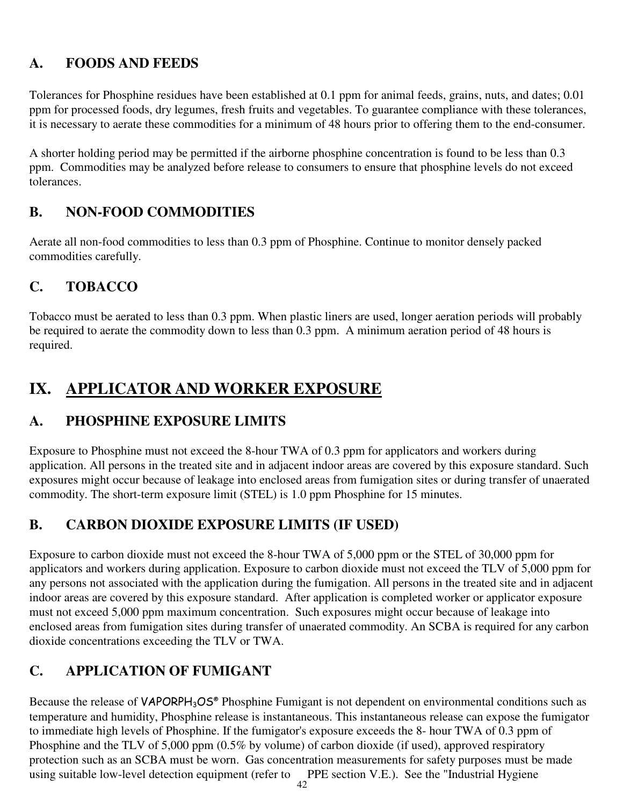## **A. FOODS AND FEEDS**

Tolerances for Phosphine residues have been established at 0.1 ppm for animal feeds, grains, nuts, and dates; 0.01 ppm for processed foods, dry legumes, fresh fruits and vegetables. To guarantee compliance with these tolerances, it is necessary to aerate these commodities for a minimum of 48 hours prior to offering them to the end-consumer.

A shorter holding period may be permitted if the airborne phosphine concentration is found to be less than 0.3 ppm. Commodities may be analyzed before release to consumers to ensure that phosphine levels do not exceed tolerances.

## **B. NON-FOOD COMMODITIES**

Aerate all non-food commodities to less than 0.3 ppm of Phosphine. Continue to monitor densely packed commodities carefully.

## **C. TOBACCO**

Tobacco must be aerated to less than 0.3 ppm. When plastic liners are used, longer aeration periods will probably be required to aerate the commodity down to less than 0.3 ppm. A minimum aeration period of 48 hours is required.

## **IX. APPLICATOR AND WORKER EXPOSURE**

### **A. PHOSPHINE EXPOSURE LIMITS**

Exposure to Phosphine must not exceed the 8-hour TWA of 0.3 ppm for applicators and workers during application. All persons in the treated site and in adjacent indoor areas are covered by this exposure standard. Such exposures might occur because of leakage into enclosed areas from fumigation sites or during transfer of unaerated commodity. The short-term exposure limit (STEL) is 1.0 ppm Phosphine for 15 minutes.

### **B. CARBON DIOXIDE EXPOSURE LIMITS (IF USED)**

Exposure to carbon dioxide must not exceed the 8-hour TWA of 5,000 ppm or the STEL of 30,000 ppm for applicators and workers during application. Exposure to carbon dioxide must not exceed the TLV of 5,000 ppm for any persons not associated with the application during the fumigation. All persons in the treated site and in adjacent indoor areas are covered by this exposure standard. After application is completed worker or applicator exposure must not exceed 5,000 ppm maximum concentration. Such exposures might occur because of leakage into enclosed areas from fumigation sites during transfer of unaerated commodity. An SCBA is required for any carbon dioxide concentrations exceeding the TLV or TWA.

## **C. APPLICATION OF FUMIGANT**

Because the release of VAPORPH<sub>3</sub>OS<sup>®</sup> Phosphine Fumigant is not dependent on environmental conditions such as temperature and humidity, Phosphine release is instantaneous. This instantaneous release can expose the fumigator to immediate high levels of Phosphine. If the fumigator's exposure exceeds the 8- hour TWA of 0.3 ppm of Phosphine and the TLV of 5,000 ppm (0.5% by volume) of carbon dioxide (if used), approved respiratory protection such as an SCBA must be worn. Gas concentration measurements for safety purposes must be made using suitable low-level detection equipment (refer to PPE section V.E.). See the "Industrial Hygiene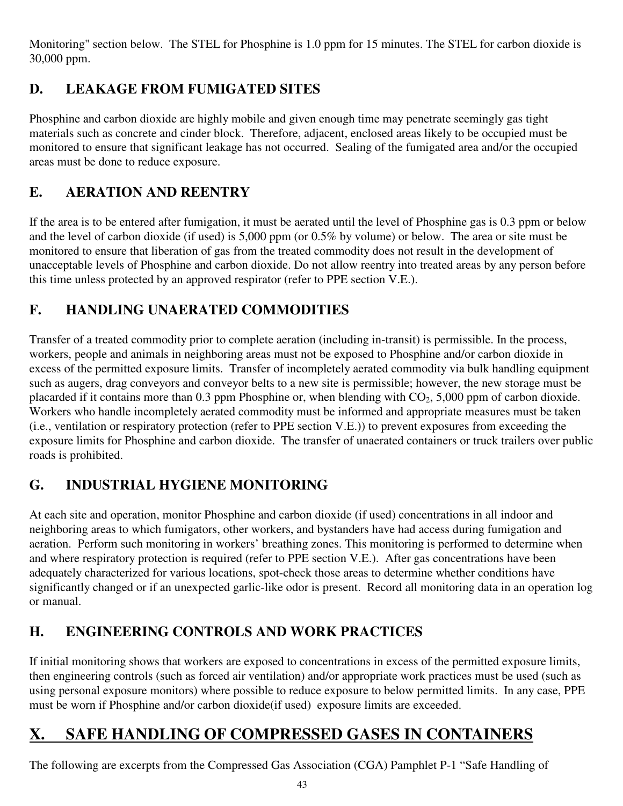Monitoring" section below. The STEL for Phosphine is 1.0 ppm for 15 minutes. The STEL for carbon dioxide is 30,000 ppm.

## **D. LEAKAGE FROM FUMIGATED SITES**

Phosphine and carbon dioxide are highly mobile and given enough time may penetrate seemingly gas tight materials such as concrete and cinder block. Therefore, adjacent, enclosed areas likely to be occupied must be monitored to ensure that significant leakage has not occurred. Sealing of the fumigated area and/or the occupied areas must be done to reduce exposure.

## **E. AERATION AND REENTRY**

If the area is to be entered after fumigation, it must be aerated until the level of Phosphine gas is 0.3 ppm or below and the level of carbon dioxide (if used) is 5,000 ppm (or 0.5% by volume) or below. The area or site must be monitored to ensure that liberation of gas from the treated commodity does not result in the development of unacceptable levels of Phosphine and carbon dioxide. Do not allow reentry into treated areas by any person before this time unless protected by an approved respirator (refer to PPE section V.E.).

## **F. HANDLING UNAERATED COMMODITIES**

Transfer of a treated commodity prior to complete aeration (including in-transit) is permissible. In the process, workers, people and animals in neighboring areas must not be exposed to Phosphine and/or carbon dioxide in excess of the permitted exposure limits. Transfer of incompletely aerated commodity via bulk handling equipment such as augers, drag conveyors and conveyor belts to a new site is permissible; however, the new storage must be placarded if it contains more than 0.3 ppm Phosphine or, when blending with  $CO<sub>2</sub>$ , 5,000 ppm of carbon dioxide. Workers who handle incompletely aerated commodity must be informed and appropriate measures must be taken (i.e., ventilation or respiratory protection (refer to PPE section V.E.)) to prevent exposures from exceeding the exposure limits for Phosphine and carbon dioxide. The transfer of unaerated containers or truck trailers over public roads is prohibited.

## **G. INDUSTRIAL HYGIENE MONITORING**

At each site and operation, monitor Phosphine and carbon dioxide (if used) concentrations in all indoor and neighboring areas to which fumigators, other workers, and bystanders have had access during fumigation and aeration. Perform such monitoring in workers' breathing zones. This monitoring is performed to determine when and where respiratory protection is required (refer to PPE section V.E.). After gas concentrations have been adequately characterized for various locations, spot-check those areas to determine whether conditions have significantly changed or if an unexpected garlic-like odor is present. Record all monitoring data in an operation log or manual.

## **H. ENGINEERING CONTROLS AND WORK PRACTICES**

If initial monitoring shows that workers are exposed to concentrations in excess of the permitted exposure limits, then engineering controls (such as forced air ventilation) and/or appropriate work practices must be used (such as using personal exposure monitors) where possible to reduce exposure to below permitted limits. In any case, PPE must be worn if Phosphine and/or carbon dioxide(if used) exposure limits are exceeded.

# **X. SAFE HANDLING OF COMPRESSED GASES IN CONTAINERS**

The following are excerpts from the Compressed Gas Association (CGA) Pamphlet P-1 "Safe Handling of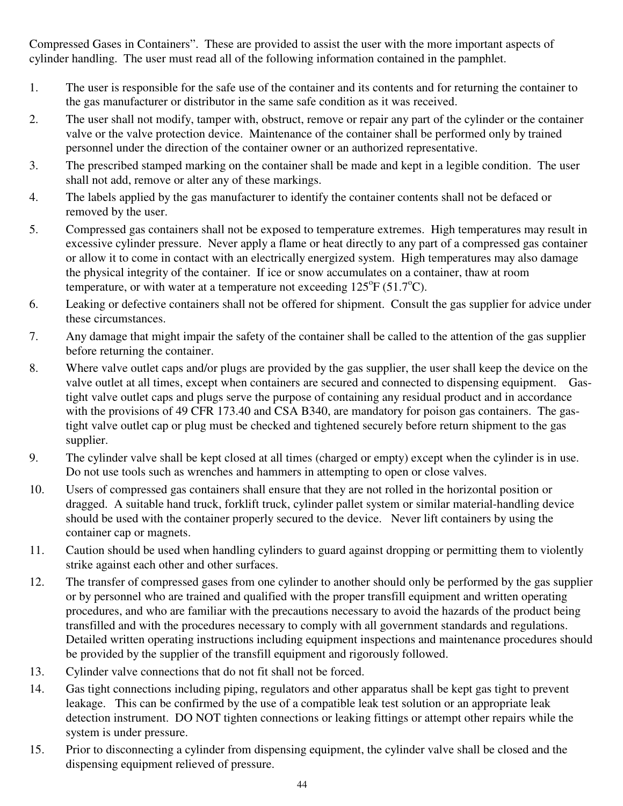Compressed Gases in Containers". These are provided to assist the user with the more important aspects of cylinder handling. The user must read all of the following information contained in the pamphlet.

- 1. The user is responsible for the safe use of the container and its contents and for returning the container to the gas manufacturer or distributor in the same safe condition as it was received.
- 2. The user shall not modify, tamper with, obstruct, remove or repair any part of the cylinder or the container valve or the valve protection device. Maintenance of the container shall be performed only by trained personnel under the direction of the container owner or an authorized representative.
- 3. The prescribed stamped marking on the container shall be made and kept in a legible condition. The user shall not add, remove or alter any of these markings.
- 4. The labels applied by the gas manufacturer to identify the container contents shall not be defaced or removed by the user.
- 5. Compressed gas containers shall not be exposed to temperature extremes. High temperatures may result in excessive cylinder pressure. Never apply a flame or heat directly to any part of a compressed gas container or allow it to come in contact with an electrically energized system. High temperatures may also damage the physical integrity of the container. If ice or snow accumulates on a container, thaw at room temperature, or with water at a temperature not exceeding  $125^{\circ}F(51.7^{\circ}C)$ .
- 6. Leaking or defective containers shall not be offered for shipment. Consult the gas supplier for advice under these circumstances.
- 7. Any damage that might impair the safety of the container shall be called to the attention of the gas supplier before returning the container.
- 8. Where valve outlet caps and/or plugs are provided by the gas supplier, the user shall keep the device on the valve outlet at all times, except when containers are secured and connected to dispensing equipment. Gastight valve outlet caps and plugs serve the purpose of containing any residual product and in accordance with the provisions of 49 CFR 173.40 and CSA B340, are mandatory for poison gas containers. The gastight valve outlet cap or plug must be checked and tightened securely before return shipment to the gas supplier.
- 9. The cylinder valve shall be kept closed at all times (charged or empty) except when the cylinder is in use. Do not use tools such as wrenches and hammers in attempting to open or close valves.
- 10. Users of compressed gas containers shall ensure that they are not rolled in the horizontal position or dragged. A suitable hand truck, forklift truck, cylinder pallet system or similar material-handling device should be used with the container properly secured to the device. Never lift containers by using the container cap or magnets.
- 11. Caution should be used when handling cylinders to guard against dropping or permitting them to violently strike against each other and other surfaces.
- 12. The transfer of compressed gases from one cylinder to another should only be performed by the gas supplier or by personnel who are trained and qualified with the proper transfill equipment and written operating procedures, and who are familiar with the precautions necessary to avoid the hazards of the product being transfilled and with the procedures necessary to comply with all government standards and regulations. Detailed written operating instructions including equipment inspections and maintenance procedures should be provided by the supplier of the transfill equipment and rigorously followed.
- 13. Cylinder valve connections that do not fit shall not be forced.
- 14. Gas tight connections including piping, regulators and other apparatus shall be kept gas tight to prevent leakage. This can be confirmed by the use of a compatible leak test solution or an appropriate leak detection instrument. DO NOT tighten connections or leaking fittings or attempt other repairs while the system is under pressure.
- 15. Prior to disconnecting a cylinder from dispensing equipment, the cylinder valve shall be closed and the dispensing equipment relieved of pressure.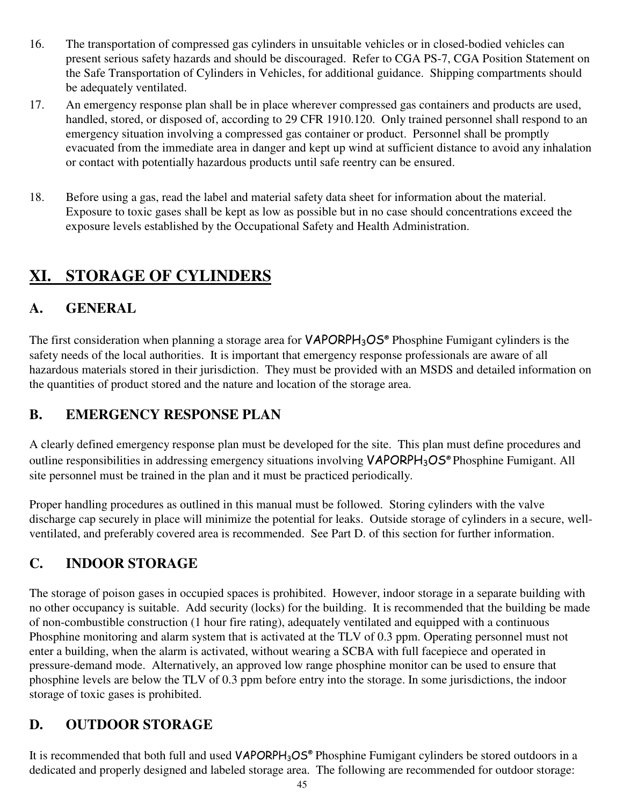- 16. The transportation of compressed gas cylinders in unsuitable vehicles or in closed-bodied vehicles can present serious safety hazards and should be discouraged. Refer to CGA PS-7, CGA Position Statement on the Safe Transportation of Cylinders in Vehicles, for additional guidance. Shipping compartments should be adequately ventilated.
- 17. An emergency response plan shall be in place wherever compressed gas containers and products are used, handled, stored, or disposed of, according to 29 CFR 1910.120. Only trained personnel shall respond to an emergency situation involving a compressed gas container or product. Personnel shall be promptly evacuated from the immediate area in danger and kept up wind at sufficient distance to avoid any inhalation or contact with potentially hazardous products until safe reentry can be ensured.
- 18. Before using a gas, read the label and material safety data sheet for information about the material. Exposure to toxic gases shall be kept as low as possible but in no case should concentrations exceed the exposure levels established by the Occupational Safety and Health Administration.

# **XI. STORAGE OF CYLINDERS**

## **A. GENERAL**

The first consideration when planning a storage area for VAPORPH<sub>3</sub>OS<sup>®</sup> Phosphine Fumigant cylinders is the safety needs of the local authorities. It is important that emergency response professionals are aware of all hazardous materials stored in their jurisdiction. They must be provided with an MSDS and detailed information on the quantities of product stored and the nature and location of the storage area.

## **B. EMERGENCY RESPONSE PLAN**

A clearly defined emergency response plan must be developed for the site. This plan must define procedures and outline responsibilities in addressing emergency situations involving **VAPORPH<sub>3</sub>OS<sup>®</sup> Phosphine Fumigant.** All site personnel must be trained in the plan and it must be practiced periodically.

Proper handling procedures as outlined in this manual must be followed. Storing cylinders with the valve discharge cap securely in place will minimize the potential for leaks. Outside storage of cylinders in a secure, wellventilated, and preferably covered area is recommended. See Part D. of this section for further information.

## **C. INDOOR STORAGE**

The storage of poison gases in occupied spaces is prohibited. However, indoor storage in a separate building with no other occupancy is suitable. Add security (locks) for the building. It is recommended that the building be made of non-combustible construction (1 hour fire rating), adequately ventilated and equipped with a continuous Phosphine monitoring and alarm system that is activated at the TLV of 0.3 ppm. Operating personnel must not enter a building, when the alarm is activated, without wearing a SCBA with full facepiece and operated in pressure-demand mode. Alternatively, an approved low range phosphine monitor can be used to ensure that phosphine levels are below the TLV of 0.3 ppm before entry into the storage. In some jurisdictions, the indoor storage of toxic gases is prohibited.

## **D. OUTDOOR STORAGE**

It is recommended that both full and used VAPORPH<sub>3</sub>OS<sup>®</sup> Phosphine Fumigant cylinders be stored outdoors in a dedicated and properly designed and labeled storage area. The following are recommended for outdoor storage: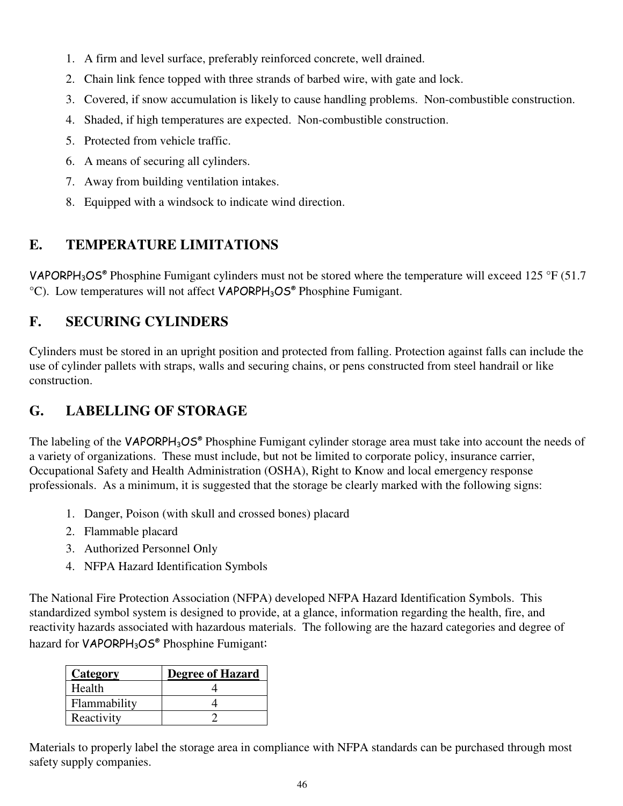- 1. A firm and level surface, preferably reinforced concrete, well drained.
- 2. Chain link fence topped with three strands of barbed wire, with gate and lock.
- 3. Covered, if snow accumulation is likely to cause handling problems. Non-combustible construction.
- 4. Shaded, if high temperatures are expected. Non-combustible construction.
- 5. Protected from vehicle traffic.
- 6. A means of securing all cylinders.
- 7. Away from building ventilation intakes.
- 8. Equipped with a windsock to indicate wind direction.

## **E. TEMPERATURE LIMITATIONS**

VAPORPH<sub>3</sub>OS<sup>®</sup> Phosphine Fumigant cylinders must not be stored where the temperature will exceed 125 °F (51.7  $^{\circ}$ C). Low temperatures will not affect **VAPORPH**<sub>3</sub>OS<sup>®</sup> Phosphine Fumigant.

## **F. SECURING CYLINDERS**

Cylinders must be stored in an upright position and protected from falling. Protection against falls can include the use of cylinder pallets with straps, walls and securing chains, or pens constructed from steel handrail or like construction.

## **G. LABELLING OF STORAGE**

The labeling of the VAPORPH<sub>3</sub>OS® Phosphine Fumigant cylinder storage area must take into account the needs of a variety of organizations. These must include, but not be limited to corporate policy, insurance carrier, Occupational Safety and Health Administration (OSHA), Right to Know and local emergency response professionals. As a minimum, it is suggested that the storage be clearly marked with the following signs:

- 1. Danger, Poison (with skull and crossed bones) placard
- 2. Flammable placard
- 3. Authorized Personnel Only
- 4. NFPA Hazard Identification Symbols

The National Fire Protection Association (NFPA) developed NFPA Hazard Identification Symbols. This standardized symbol system is designed to provide, at a glance, information regarding the health, fire, and reactivity hazards associated with hazardous materials. The following are the hazard categories and degree of hazard for VAPORPH<sub>3</sub>OS<sup>®</sup> Phosphine Fumigant:

| Category     | <b>Degree of Hazard</b> |
|--------------|-------------------------|
| Health       |                         |
| Flammability |                         |
| Reactivity   |                         |

Materials to properly label the storage area in compliance with NFPA standards can be purchased through most safety supply companies.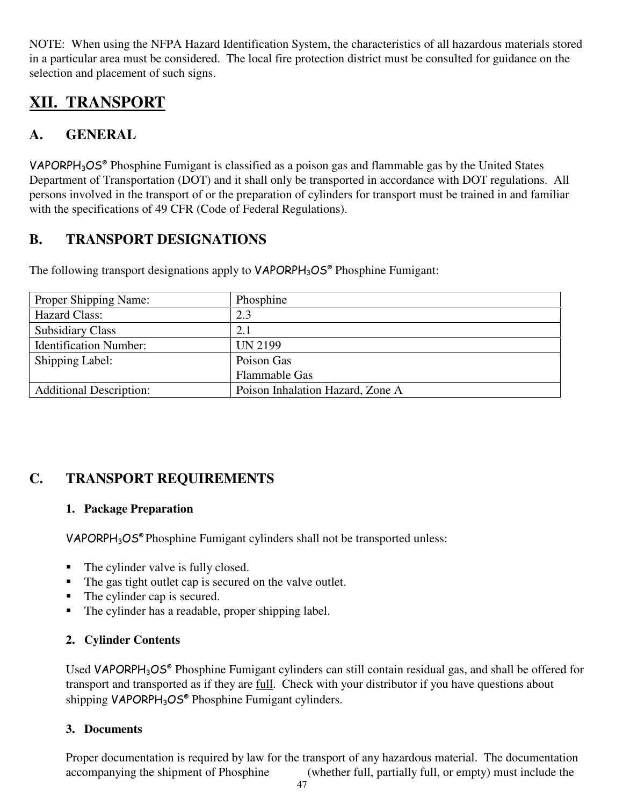NOTE: When using the NFPA Hazard Identification System, the characteristics of all hazardous materials stored in a particular area must be considered. The local fire protection district must be consulted for guidance on the selection and placement of such signs.

# **XII. TRANSPORT**

## **A. GENERAL**

VAPORPH3OS® Phosphine Fumigant is classified as a poison gas and flammable gas by the United States Department of Transportation (DOT) and it shall only be transported in accordance with DOT regulations. All persons involved in the transport of or the preparation of cylinders for transport must be trained in and familiar with the specifications of 49 CFR (Code of Federal Regulations).

## **B. TRANSPORT DESIGNATIONS**

The following transport designations apply to VAPORPH<sub>3</sub>OS<sup>®</sup> Phosphine Fumigant:

| Proper Shipping Name:          | Phosphine                        |
|--------------------------------|----------------------------------|
| <b>Hazard Class:</b>           | 2.3                              |
| <b>Subsidiary Class</b>        | 2.1                              |
| <b>Identification Number:</b>  | <b>UN 2199</b>                   |
| Shipping Label:                | Poison Gas                       |
|                                | <b>Flammable Gas</b>             |
| <b>Additional Description:</b> | Poison Inhalation Hazard, Zone A |

## **C. TRANSPORT REQUIREMENTS**

### **1. Package Preparation**

VAPORPH3OS® Phosphine Fumigant cylinders shall not be transported unless:

- The cylinder valve is fully closed.
- The gas tight outlet cap is secured on the valve outlet.
- The cylinder cap is secured.
- The cylinder has a readable, proper shipping label.

### **2. Cylinder Contents**

Used VAPORPH<sub>3</sub>OS<sup>®</sup> Phosphine Fumigant cylinders can still contain residual gas, and shall be offered for transport and transported as if they are full. Check with your distributor if you have questions about shipping VAPORPH<sub>3</sub>OS<sup>®</sup> Phosphine Fumigant cylinders.

### **3. Documents**

Proper documentation is required by law for the transport of any hazardous material. The documentation accompanying the shipment of Phosphine (whether full, partially full, or empty) must include the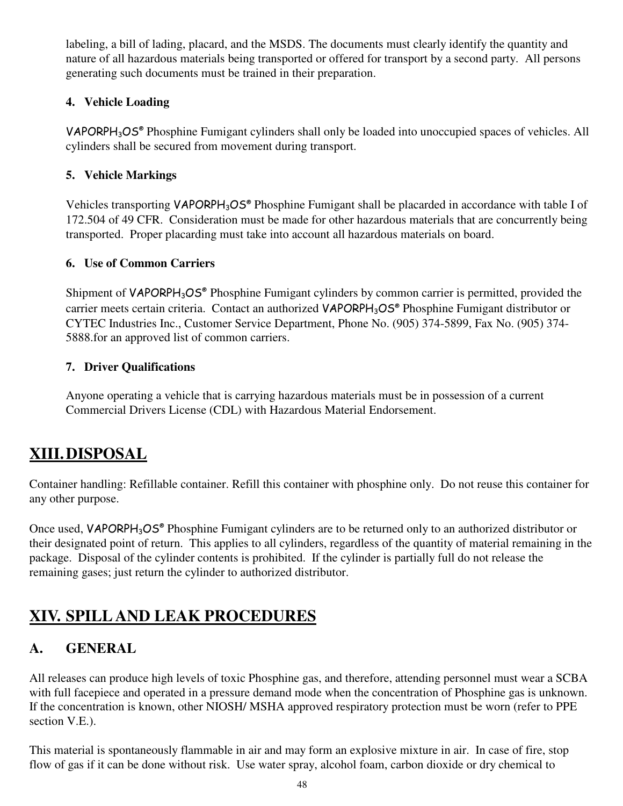labeling, a bill of lading, placard, and the MSDS. The documents must clearly identify the quantity and nature of all hazardous materials being transported or offered for transport by a second party. All persons generating such documents must be trained in their preparation.

#### **4. Vehicle Loading**

VAPORPH<sub>3</sub>OS<sup>®</sup> Phosphine Fumigant cylinders shall only be loaded into unoccupied spaces of vehicles. All cylinders shall be secured from movement during transport.

#### **5. Vehicle Markings**

Vehicles transporting VAPORPH<sub>3</sub>OS<sup>®</sup> Phosphine Fumigant shall be placarded in accordance with table I of 172.504 of 49 CFR. Consideration must be made for other hazardous materials that are concurrently being transported. Proper placarding must take into account all hazardous materials on board.

#### **6. Use of Common Carriers**

Shipment of VAPORPH<sub>3</sub>OS<sup>®</sup> Phosphine Fumigant cylinders by common carrier is permitted, provided the carrier meets certain criteria. Contact an authorized VAPORPH<sub>3</sub>OS® Phosphine Fumigant distributor or CYTEC Industries Inc., Customer Service Department, Phone No. (905) 374-5899, Fax No. (905) 374- 5888.for an approved list of common carriers.

#### **7. Driver Qualifications**

Anyone operating a vehicle that is carrying hazardous materials must be in possession of a current Commercial Drivers License (CDL) with Hazardous Material Endorsement.

# **XIII. DISPOSAL**

Container handling: Refillable container. Refill this container with phosphine only. Do not reuse this container for any other purpose.

Once used, VAPORPH<sub>3</sub>OS<sup>®</sup> Phosphine Fumigant cylinders are to be returned only to an authorized distributor or their designated point of return. This applies to all cylinders, regardless of the quantity of material remaining in the package. Disposal of the cylinder contents is prohibited. If the cylinder is partially full do not release the remaining gases; just return the cylinder to authorized distributor.

# **XIV. SPILL AND LEAK PROCEDURES**

## **A. GENERAL**

All releases can produce high levels of toxic Phosphine gas, and therefore, attending personnel must wear a SCBA with full facepiece and operated in a pressure demand mode when the concentration of Phosphine gas is unknown. If the concentration is known, other NIOSH/ MSHA approved respiratory protection must be worn (refer to PPE section V.E.).

This material is spontaneously flammable in air and may form an explosive mixture in air. In case of fire, stop flow of gas if it can be done without risk. Use water spray, alcohol foam, carbon dioxide or dry chemical to